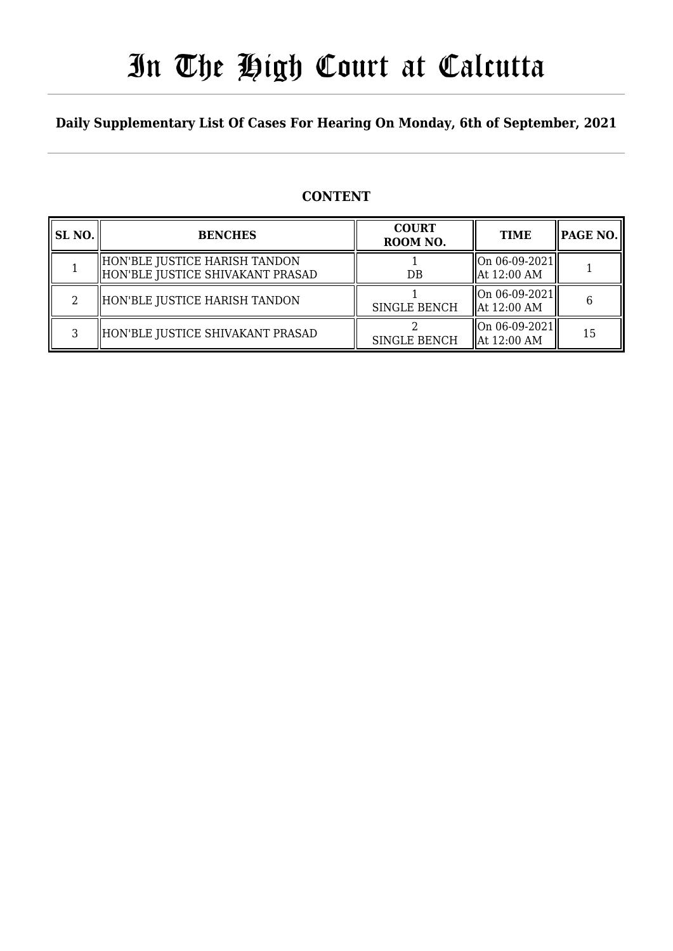# In The High Court at Calcutta

#### **Daily Supplementary List Of Cases For Hearing On Monday, 6th of September, 2021**

#### **CONTENT**

| SL NO. | <b>BENCHES</b>                                                    | <b>COURT</b><br>ROOM NO. | <b>TIME</b>                                | <b> PAGE NO.  </b> |
|--------|-------------------------------------------------------------------|--------------------------|--------------------------------------------|--------------------|
|        | HON'BLE JUSTICE HARISH TANDON<br>HON'BLE JUSTICE SHIVAKANT PRASAD | DB                       | On 06-09-2021  <br>$\parallel$ At 12:00 AM |                    |
| ∍      | HON'BLE JUSTICE HARISH TANDON                                     | <b>SINGLE BENCH</b>      | On 06-09-2021  <br>$\parallel$ At 12:00 AM | 6                  |
| ς      | HON'BLE JUSTICE SHIVAKANT PRASAD                                  | <b>SINGLE BENCH</b>      | On 06-09-2021  <br>$\parallel$ At 12:00 AM | 15                 |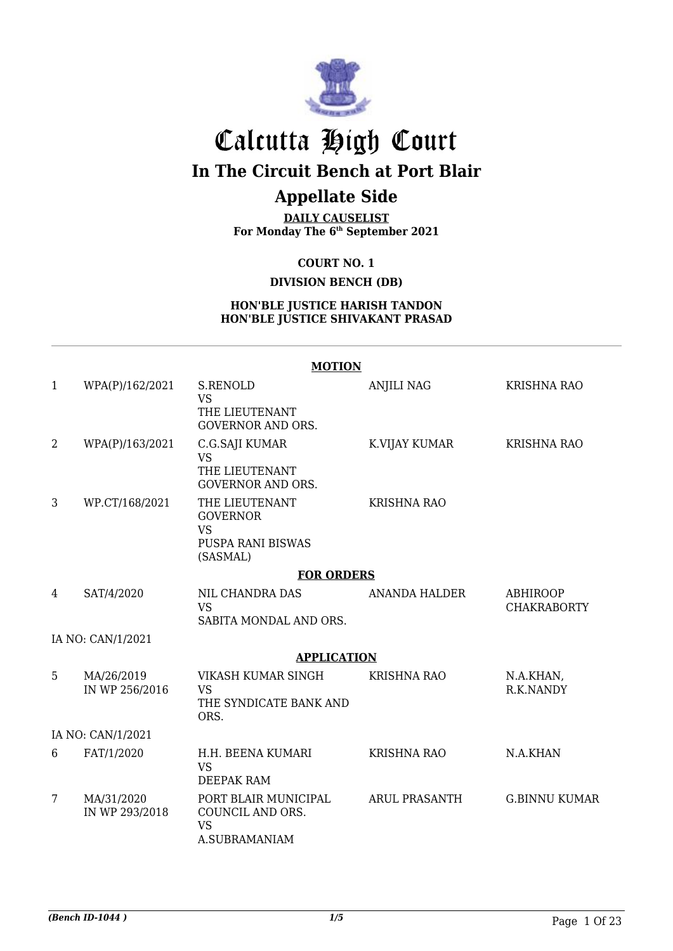

# Calcutta High Court

**In The Circuit Bench at Port Blair**

### **Appellate Side**

**DAILY CAUSELIST For Monday The 6th September 2021**

**COURT NO. 1**

**DIVISION BENCH (DB)**

#### **HON'BLE JUSTICE HARISH TANDON HON'BLE JUSTICE SHIVAKANT PRASAD**

|                |                              | <b>MOTION</b>                                                          |                      |                                       |
|----------------|------------------------------|------------------------------------------------------------------------|----------------------|---------------------------------------|
| 1              | WPA(P)/162/2021              | <b>S.RENOLD</b><br><b>VS</b>                                           | <b>ANJILI NAG</b>    | <b>KRISHNA RAO</b>                    |
|                |                              | THE LIEUTENANT<br><b>GOVERNOR AND ORS.</b>                             |                      |                                       |
| $\overline{2}$ | WPA(P)/163/2021              | C.G.SAJI KUMAR<br><b>VS</b>                                            | K.VIJAY KUMAR        | <b>KRISHNA RAO</b>                    |
|                |                              | THE LIEUTENANT<br><b>GOVERNOR AND ORS.</b>                             |                      |                                       |
| 3              | WP.CT/168/2021               | THE LIEUTENANT<br><b>GOVERNOR</b><br><b>VS</b>                         | <b>KRISHNA RAO</b>   |                                       |
|                |                              | <b>PUSPA RANI BISWAS</b><br>(SASMAL)                                   |                      |                                       |
|                |                              | <b>FOR ORDERS</b>                                                      |                      |                                       |
| 4              | SAT/4/2020                   | NIL CHANDRA DAS<br><b>VS</b>                                           | <b>ANANDA HALDER</b> | <b>ABHIROOP</b><br><b>CHAKRABORTY</b> |
|                |                              | SABITA MONDAL AND ORS.                                                 |                      |                                       |
|                | IA NO: CAN/1/2021            |                                                                        |                      |                                       |
|                |                              | <b>APPLICATION</b>                                                     |                      |                                       |
| 5              | MA/26/2019<br>IN WP 256/2016 | VIKASH KUMAR SINGH<br><b>VS</b>                                        | <b>KRISHNA RAO</b>   | N.A.KHAN,<br>R.K.NANDY                |
|                |                              | THE SYNDICATE BANK AND<br>ORS.                                         |                      |                                       |
|                | IA NO: CAN/1/2021            |                                                                        |                      |                                       |
| 6              | FAT/1/2020                   | H.H. BEENA KUMARI<br><b>VS</b><br><b>DEEPAK RAM</b>                    | <b>KRISHNA RAO</b>   | N.A.KHAN                              |
| 7              | MA/31/2020<br>IN WP 293/2018 | PORT BLAIR MUNICIPAL<br>COUNCIL AND ORS.<br><b>VS</b><br>A.SUBRAMANIAM | ARUL PRASANTH        | <b>G.BINNU KUMAR</b>                  |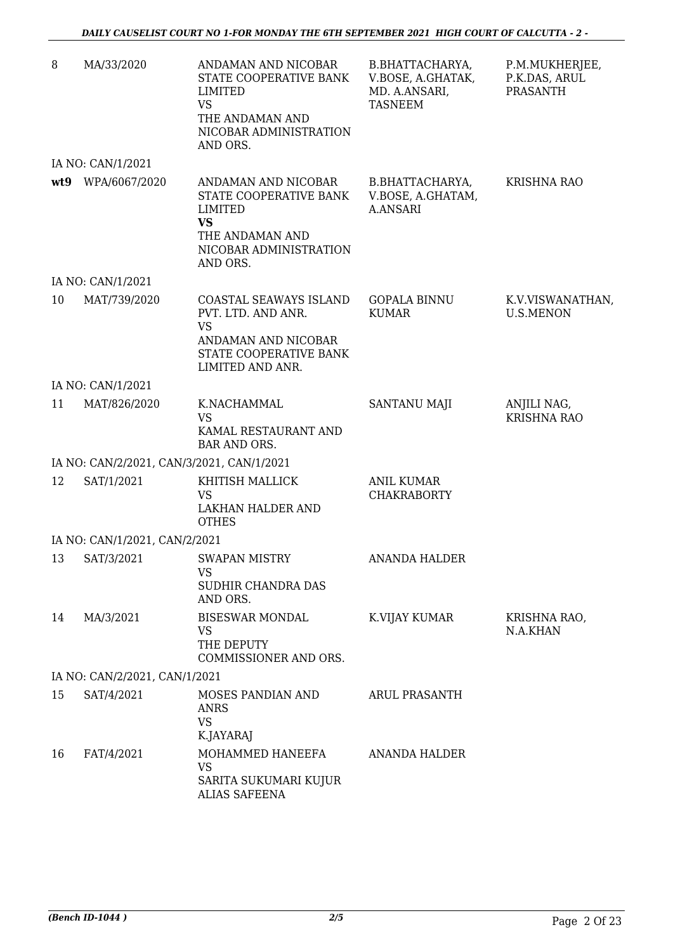| 8   | MA/33/2020                    | ANDAMAN AND NICOBAR<br>STATE COOPERATIVE BANK<br>LIMITED<br><b>VS</b><br>THE ANDAMAN AND<br>NICOBAR ADMINISTRATION<br>AND ORS. | B.BHATTACHARYA,<br>V.BOSE, A.GHATAK,<br>MD. A.ANSARI,<br><b>TASNEEM</b> | P.M.MUKHERJEE,<br>P.K.DAS, ARUL<br>PRASANTH |
|-----|-------------------------------|--------------------------------------------------------------------------------------------------------------------------------|-------------------------------------------------------------------------|---------------------------------------------|
|     | IA NO: CAN/1/2021             |                                                                                                                                |                                                                         |                                             |
| wt9 | WPA/6067/2020                 | ANDAMAN AND NICOBAR<br>STATE COOPERATIVE BANK<br>LIMITED<br><b>VS</b><br>THE ANDAMAN AND<br>NICOBAR ADMINISTRATION<br>AND ORS. | B.BHATTACHARYA,<br>V.BOSE, A.GHATAM,<br><b>A.ANSARI</b>                 | <b>KRISHNA RAO</b>                          |
|     | IA NO: CAN/1/2021             |                                                                                                                                |                                                                         |                                             |
| 10  | MAT/739/2020                  | COASTAL SEAWAYS ISLAND<br>PVT. LTD. AND ANR.<br><b>VS</b><br>ANDAMAN AND NICOBAR<br>STATE COOPERATIVE BANK<br>LIMITED AND ANR. | <b>GOPALA BINNU</b><br><b>KUMAR</b>                                     | K.V.VISWANATHAN,<br><b>U.S.MENON</b>        |
|     | IA NO: CAN/1/2021             |                                                                                                                                |                                                                         |                                             |
| 11  | MAT/826/2020                  | K.NACHAMMAL<br><b>VS</b><br>KAMAL RESTAURANT AND<br><b>BAR AND ORS.</b>                                                        | SANTANU MAJI                                                            | ANJILI NAG,<br><b>KRISHNA RAO</b>           |
|     |                               | IA NO: CAN/2/2021, CAN/3/2021, CAN/1/2021                                                                                      |                                                                         |                                             |
| 12  | SAT/1/2021                    | KHITISH MALLICK<br><b>VS</b><br>LAKHAN HALDER AND<br><b>OTHES</b>                                                              | ANIL KUMAR<br><b>CHAKRABORTY</b>                                        |                                             |
|     | IA NO: CAN/1/2021, CAN/2/2021 |                                                                                                                                |                                                                         |                                             |
|     | 13 SAT/3/2021                 | SWAPAN MISTRY<br><b>VS</b><br>SUDHIR CHANDRA DAS<br>AND ORS.                                                                   | ANANDA HALDER                                                           |                                             |
| 14  | MA/3/2021                     | <b>BISESWAR MONDAL</b><br><b>VS</b><br>THE DEPUTY<br>COMMISSIONER AND ORS.                                                     | K.VIJAY KUMAR                                                           | KRISHNA RAO,<br>N.A.KHAN                    |
|     | IA NO: CAN/2/2021, CAN/1/2021 |                                                                                                                                |                                                                         |                                             |
| 15  | SAT/4/2021                    | MOSES PANDIAN AND<br><b>ANRS</b><br><b>VS</b><br>K.JAYARAJ                                                                     | <b>ARUL PRASANTH</b>                                                    |                                             |
| 16  | FAT/4/2021                    | MOHAMMED HANEEFA<br><b>VS</b><br>SARITA SUKUMARI KUJUR<br><b>ALIAS SAFEENA</b>                                                 | <b>ANANDA HALDER</b>                                                    |                                             |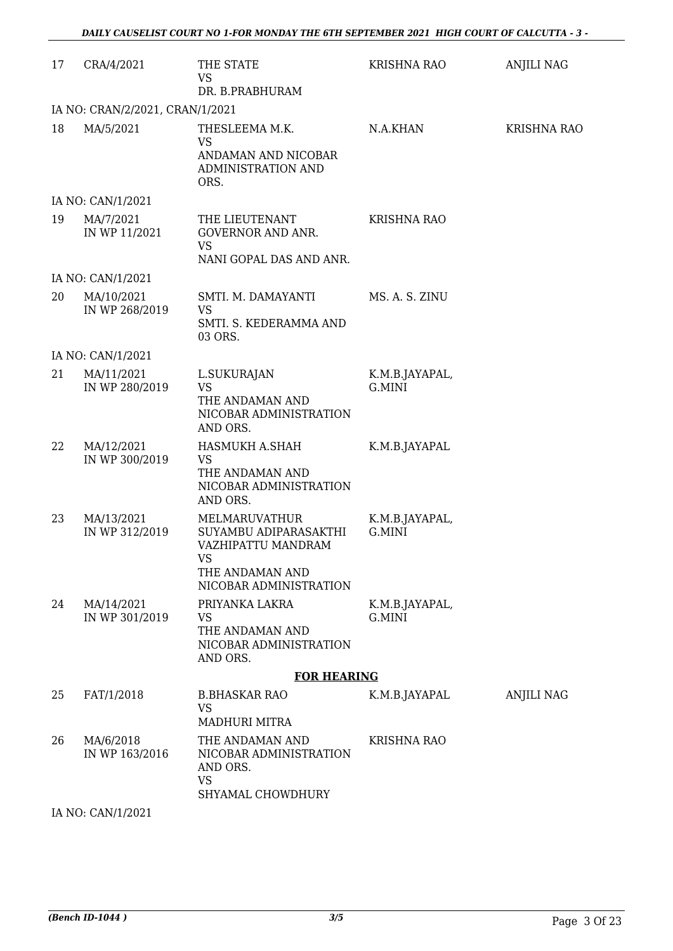| 17 | CRA/4/2021                      | THE STATE<br><b>VS</b>                                                                                          | KRISHNA RAO              | <b>ANJILI NAG</b>  |
|----|---------------------------------|-----------------------------------------------------------------------------------------------------------------|--------------------------|--------------------|
|    | IA NO: CRAN/2/2021, CRAN/1/2021 | DR. B.PRABHURAM                                                                                                 |                          |                    |
| 18 | MA/5/2021                       | THESLEEMA M.K.<br><b>VS</b><br>ANDAMAN AND NICOBAR<br>ADMINISTRATION AND<br>ORS.                                | N.A.KHAN                 | <b>KRISHNA RAO</b> |
|    | IA NO: CAN/1/2021               |                                                                                                                 |                          |                    |
| 19 | MA/7/2021<br>IN WP 11/2021      | THE LIEUTENANT<br><b>GOVERNOR AND ANR.</b><br><b>VS</b><br>NANI GOPAL DAS AND ANR.                              | KRISHNA RAO              |                    |
|    | IA NO: CAN/1/2021               |                                                                                                                 |                          |                    |
| 20 | MA/10/2021<br>IN WP 268/2019    | SMTI. M. DAMAYANTI<br>VS<br>SMTI. S. KEDERAMMA AND<br>03 ORS.                                                   | MS. A. S. ZINU           |                    |
|    | IA NO: CAN/1/2021               |                                                                                                                 |                          |                    |
| 21 | MA/11/2021<br>IN WP 280/2019    | L.SUKURAJAN<br><b>VS</b><br>THE ANDAMAN AND<br>NICOBAR ADMINISTRATION<br>AND ORS.                               | K.M.B.JAYAPAL,<br>G.MINI |                    |
| 22 | MA/12/2021<br>IN WP 300/2019    | HASMUKH A.SHAH<br><b>VS</b><br>THE ANDAMAN AND<br>NICOBAR ADMINISTRATION<br>AND ORS.                            | K.M.B.JAYAPAL            |                    |
| 23 | MA/13/2021<br>IN WP 312/2019    | MELMARUVATHUR<br>SUYAMBU ADIPARASAKTHI<br>VAZHIPATTU MANDRAM<br>VS<br>THE ANDAMAN AND<br>NICOBAR ADMINISTRATION | K.M.B.JAYAPAL,<br>G.MINI |                    |
| 24 | MA/14/2021<br>IN WP 301/2019    | PRIYANKA LAKRA<br><b>VS</b><br>THE ANDAMAN AND<br>NICOBAR ADMINISTRATION<br>AND ORS.                            | K.M.B.JAYAPAL,<br>G.MINI |                    |
|    |                                 | <b>FOR HEARING</b>                                                                                              |                          |                    |
| 25 | FAT/1/2018                      | <b>B.BHASKAR RAO</b><br><b>VS</b><br><b>MADHURI MITRA</b>                                                       | K.M.B.JAYAPAL            | <b>ANJILI NAG</b>  |
| 26 | MA/6/2018<br>IN WP 163/2016     | THE ANDAMAN AND<br>NICOBAR ADMINISTRATION<br>AND ORS.<br><b>VS</b><br>SHYAMAL CHOWDHURY                         | <b>KRISHNA RAO</b>       |                    |
|    | IA NO: CAN/1/2021               |                                                                                                                 |                          |                    |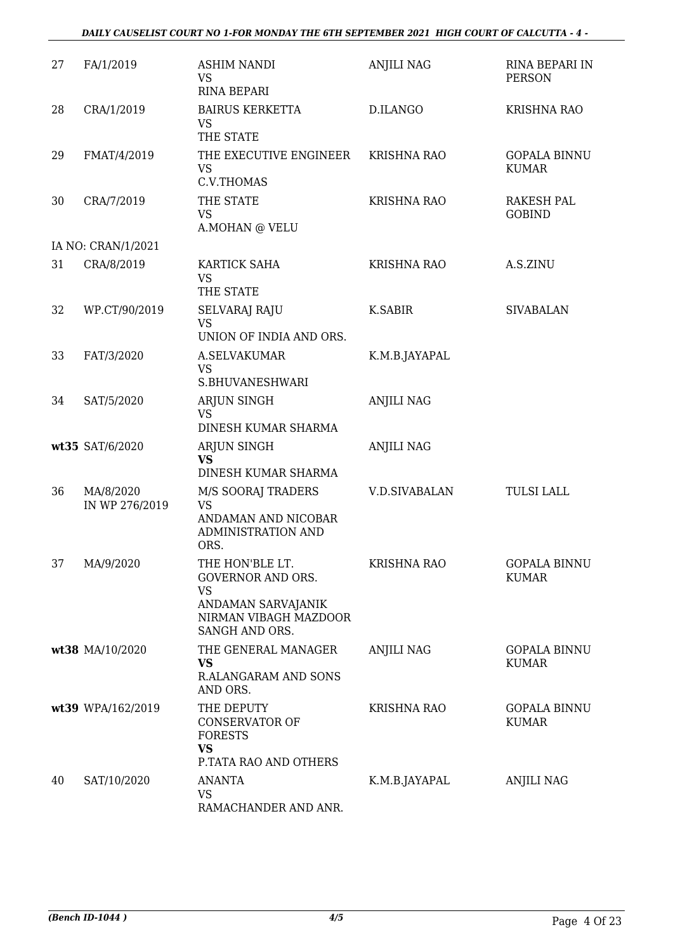| 27 | FA/1/2019                   | <b>ASHIM NANDI</b><br><b>VS</b><br><b>RINA BEPARI</b>                                                                     | <b>ANJILI NAG</b>    | RINA BEPARI IN<br><b>PERSON</b>     |
|----|-----------------------------|---------------------------------------------------------------------------------------------------------------------------|----------------------|-------------------------------------|
| 28 | CRA/1/2019                  | <b>BAIRUS KERKETTA</b><br><b>VS</b><br>THE STATE                                                                          | D.ILANGO             | <b>KRISHNA RAO</b>                  |
| 29 | FMAT/4/2019                 | THE EXECUTIVE ENGINEER<br><b>VS</b><br>C.V.THOMAS                                                                         | <b>KRISHNA RAO</b>   | <b>GOPALA BINNU</b><br><b>KUMAR</b> |
| 30 | CRA/7/2019                  | THE STATE<br><b>VS</b><br>A.MOHAN @ VELU                                                                                  | <b>KRISHNA RAO</b>   | <b>RAKESH PAL</b><br><b>GOBIND</b>  |
|    | IA NO: CRAN/1/2021          |                                                                                                                           |                      |                                     |
| 31 | CRA/8/2019                  | KARTICK SAHA<br><b>VS</b><br>THE STATE                                                                                    | <b>KRISHNA RAO</b>   | A.S.ZINU                            |
| 32 | WP.CT/90/2019               | SELVARAJ RAJU<br><b>VS</b><br>UNION OF INDIA AND ORS.                                                                     | K.SABIR              | <b>SIVABALAN</b>                    |
| 33 | FAT/3/2020                  | A.SELVAKUMAR<br><b>VS</b><br>S.BHUVANESHWARI                                                                              | K.M.B.JAYAPAL        |                                     |
| 34 | SAT/5/2020                  | ARJUN SINGH<br><b>VS</b><br>DINESH KUMAR SHARMA                                                                           | <b>ANJILI NAG</b>    |                                     |
|    | wt35 SAT/6/2020             | ARJUN SINGH<br><b>VS</b><br>DINESH KUMAR SHARMA                                                                           | <b>ANJILI NAG</b>    |                                     |
| 36 | MA/8/2020<br>IN WP 276/2019 | M/S SOORAJ TRADERS<br><b>VS</b><br>ANDAMAN AND NICOBAR<br>ADMINISTRATION AND<br>ORS.                                      | <b>V.D.SIVABALAN</b> | <b>TULSI LALL</b>                   |
| 37 | MA/9/2020                   | THE HON'BLE LT.<br><b>GOVERNOR AND ORS.</b><br><b>VS</b><br>ANDAMAN SARVAJANIK<br>NIRMAN VIBAGH MAZDOOR<br>SANGH AND ORS. | <b>KRISHNA RAO</b>   | <b>GOPALA BINNU</b><br><b>KUMAR</b> |
|    | wt38 MA/10/2020             | THE GENERAL MANAGER<br><b>VS</b><br><b>R.ALANGARAM AND SONS</b><br>AND ORS.                                               | ANJILI NAG           | GOPALA BINNU<br><b>KUMAR</b>        |
|    | wt39 WPA/162/2019           | THE DEPUTY<br><b>CONSERVATOR OF</b><br><b>FORESTS</b><br><b>VS</b>                                                        | <b>KRISHNA RAO</b>   | <b>GOPALA BINNU</b><br><b>KUMAR</b> |
| 40 | SAT/10/2020                 | P.TATA RAO AND OTHERS<br><b>ANANTA</b><br><b>VS</b><br>RAMACHANDER AND ANR.                                               | K.M.B.JAYAPAL        | <b>ANJILI NAG</b>                   |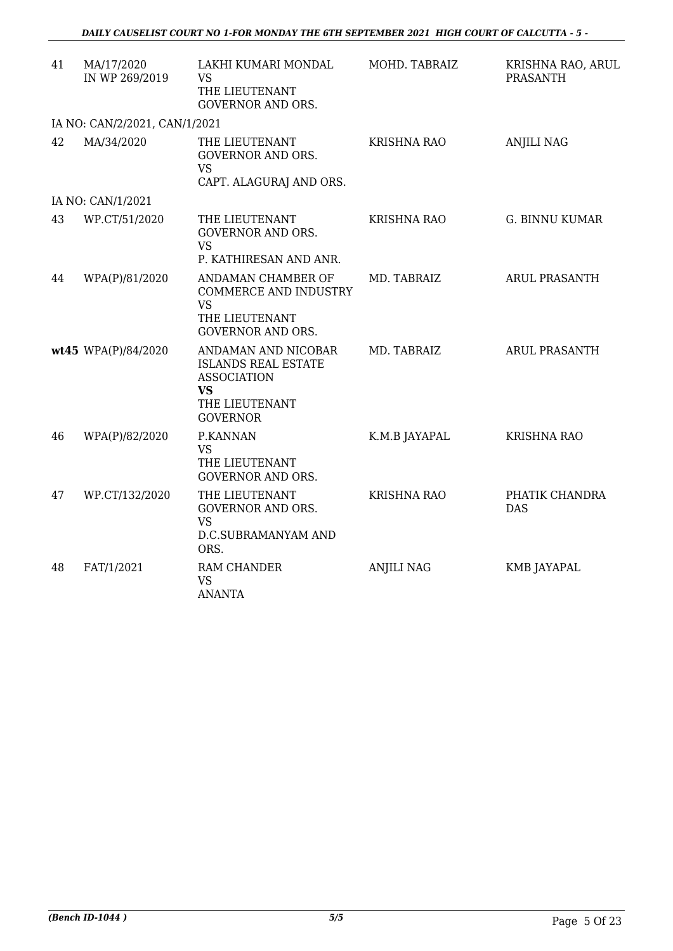| 41 | MA/17/2020<br>IN WP 269/2019  | LAKHI KUMARI MONDAL<br><b>VS</b><br>THE LIEUTENANT<br><b>GOVERNOR AND ORS.</b>                                            | MOHD. TABRAIZ      | KRISHNA RAO, ARUL<br><b>PRASANTH</b> |
|----|-------------------------------|---------------------------------------------------------------------------------------------------------------------------|--------------------|--------------------------------------|
|    | IA NO: CAN/2/2021, CAN/1/2021 |                                                                                                                           |                    |                                      |
| 42 | MA/34/2020                    | THE LIEUTENANT<br><b>GOVERNOR AND ORS.</b><br><b>VS</b><br>CAPT. ALAGURAJ AND ORS.                                        | <b>KRISHNA RAO</b> | <b>ANJILI NAG</b>                    |
|    | IA NO: CAN/1/2021             |                                                                                                                           |                    |                                      |
| 43 | WP.CT/51/2020                 | THE LIEUTENANT<br><b>GOVERNOR AND ORS.</b><br><b>VS</b><br>P. KATHIRESAN AND ANR.                                         | <b>KRISHNA RAO</b> | <b>G. BINNU KUMAR</b>                |
| 44 | WPA(P)/81/2020                | ANDAMAN CHAMBER OF<br><b>COMMERCE AND INDUSTRY</b><br><b>VS</b><br>THE LIEUTENANT<br><b>GOVERNOR AND ORS.</b>             | MD. TABRAIZ        | ARUL PRASANTH                        |
|    | wt45 WPA(P)/84/2020           | ANDAMAN AND NICOBAR<br><b>ISLANDS REAL ESTATE</b><br><b>ASSOCIATION</b><br><b>VS</b><br>THE LIEUTENANT<br><b>GOVERNOR</b> | MD. TABRAIZ        | <b>ARUL PRASANTH</b>                 |
| 46 | WPA(P)/82/2020                | P.KANNAN<br><b>VS</b><br>THE LIEUTENANT<br><b>GOVERNOR AND ORS.</b>                                                       | K.M.B JAYAPAL      | <b>KRISHNA RAO</b>                   |
| 47 | WP.CT/132/2020                | THE LIEUTENANT<br><b>GOVERNOR AND ORS.</b><br><b>VS</b><br>D.C.SUBRAMANYAM AND<br>ORS.                                    | <b>KRISHNA RAO</b> | PHATIK CHANDRA<br><b>DAS</b>         |
| 48 | FAT/1/2021                    | RAM CHANDER<br><b>VS</b><br><b>ANANTA</b>                                                                                 | <b>ANJILI NAG</b>  | <b>KMB JAYAPAL</b>                   |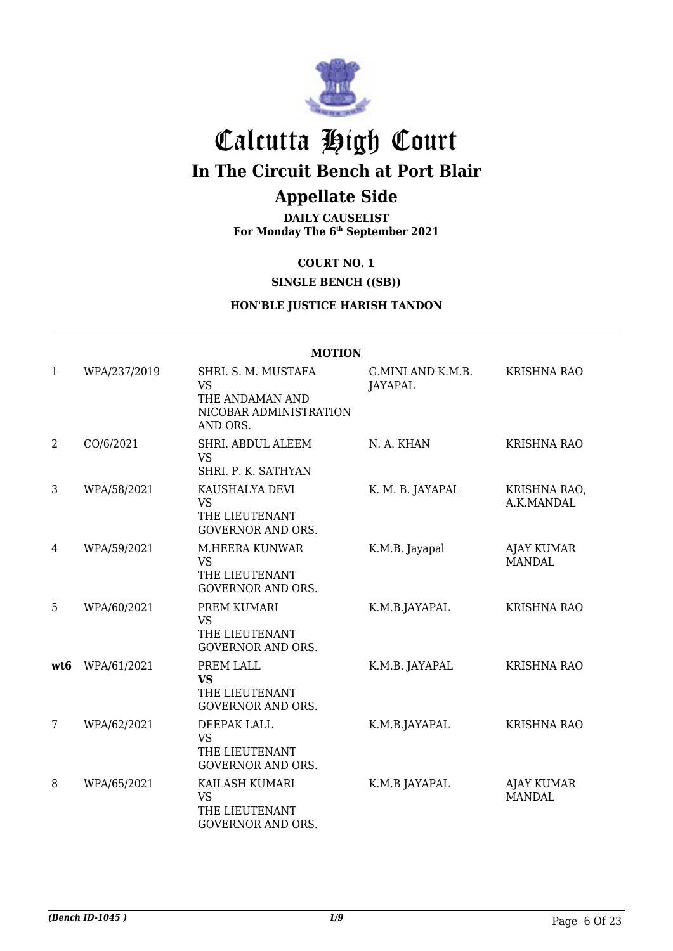

# Calcutta High Court **In The Circuit Bench at Port Blair**

## **Appellate Side**

**DAILY CAUSELIST For Monday The 6th September 2021**

**COURT NO. 1**

**SINGLE BENCH ((SB))**

#### **HON'BLE JUSTICE HARISH TANDON**

#### **MOTION**

| $\mathbf{1}$    | WPA/237/2019 | SHRI. S. M. MUSTAFA<br><b>VS</b><br>THE ANDAMAN AND<br>NICOBAR ADMINISTRATION<br>AND ORS. | G.MINI AND K.M.B.<br>JAYAPAL | <b>KRISHNA RAO</b>                 |
|-----------------|--------------|-------------------------------------------------------------------------------------------|------------------------------|------------------------------------|
| $\overline{2}$  | CO/6/2021    | SHRI. ABDUL ALEEM<br><b>VS</b><br>SHRI. P. K. SATHYAN                                     | N. A. KHAN                   | <b>KRISHNA RAO</b>                 |
| 3               | WPA/58/2021  | KAUSHALYA DEVI<br><b>VS</b><br>THE LIEUTENANT<br><b>GOVERNOR AND ORS.</b>                 | K. M. B. JAYAPAL             | KRISHNA RAO,<br>A.K.MANDAL         |
| 4               | WPA/59/2021  | M.HEERA KUNWAR<br><b>VS</b><br>THE LIEUTENANT<br><b>GOVERNOR AND ORS.</b>                 | K.M.B. Jayapal               | <b>AJAY KUMAR</b><br><b>MANDAL</b> |
| 5               | WPA/60/2021  | PREM KUMARI<br>VS<br>THE LIEUTENANT<br><b>GOVERNOR AND ORS.</b>                           | K.M.B.JAYAPAL                | <b>KRISHNA RAO</b>                 |
| wt <sub>6</sub> | WPA/61/2021  | PREM LALL<br><b>VS</b><br>THE LIEUTENANT<br><b>GOVERNOR AND ORS.</b>                      | K.M.B. JAYAPAL               | <b>KRISHNA RAO</b>                 |
| 7               | WPA/62/2021  | DEEPAK LALL<br><b>VS</b><br>THE LIEUTENANT<br><b>GOVERNOR AND ORS.</b>                    | K.M.B.JAYAPAL                | <b>KRISHNA RAO</b>                 |
| 8               | WPA/65/2021  | KAILASH KUMARI<br><b>VS</b><br>THE LIEUTENANT<br><b>GOVERNOR AND ORS.</b>                 | K.M.B JAYAPAL                | <b>AJAY KUMAR</b><br><b>MANDAL</b> |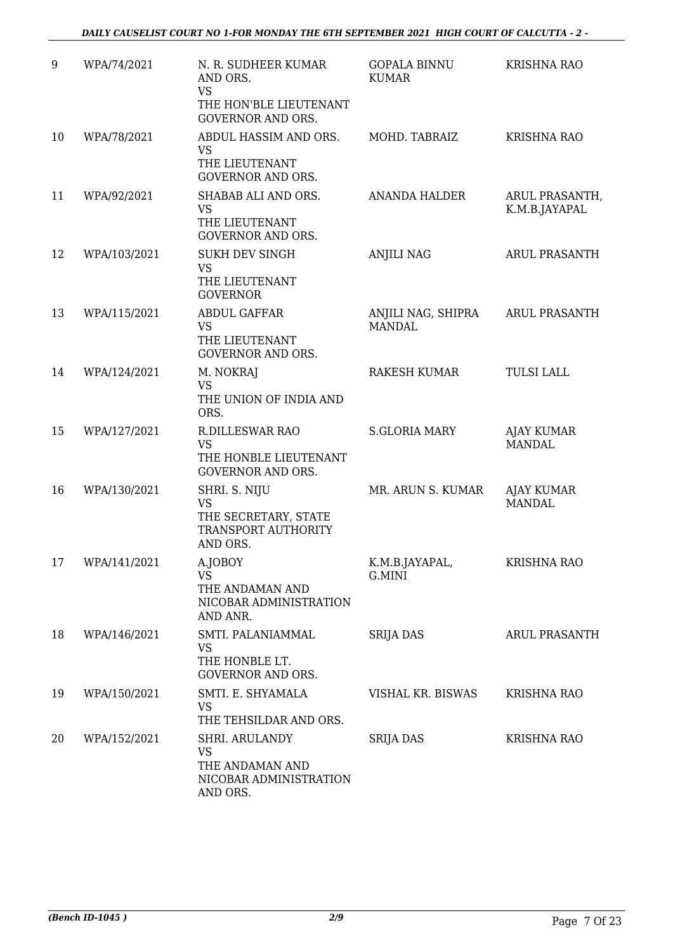| 9  | WPA/74/2021  | N. R. SUDHEER KUMAR<br>AND ORS.<br><b>VS</b><br>THE HON'BLE LIEUTENANT<br><b>GOVERNOR AND ORS.</b> | <b>GOPALA BINNU</b><br><b>KUMAR</b> | <b>KRISHNA RAO</b>                 |
|----|--------------|----------------------------------------------------------------------------------------------------|-------------------------------------|------------------------------------|
| 10 | WPA/78/2021  | ABDUL HASSIM AND ORS.<br><b>VS</b><br>THE LIEUTENANT<br><b>GOVERNOR AND ORS.</b>                   | MOHD. TABRAIZ                       | <b>KRISHNA RAO</b>                 |
| 11 | WPA/92/2021  | SHABAB ALI AND ORS.<br><b>VS</b><br>THE LIEUTENANT<br>GOVERNOR AND ORS.                            | ANANDA HALDER                       | ARUL PRASANTH,<br>K.M.B.JAYAPAL    |
| 12 | WPA/103/2021 | <b>SUKH DEV SINGH</b><br><b>VS</b><br>THE LIEUTENANT<br><b>GOVERNOR</b>                            | <b>ANJILI NAG</b>                   | <b>ARUL PRASANTH</b>               |
| 13 | WPA/115/2021 | <b>ABDUL GAFFAR</b><br><b>VS</b><br>THE LIEUTENANT<br><b>GOVERNOR AND ORS.</b>                     | ANJILI NAG, SHIPRA<br><b>MANDAL</b> | ARUL PRASANTH                      |
| 14 | WPA/124/2021 | M. NOKRAJ<br><b>VS</b><br>THE UNION OF INDIA AND<br>ORS.                                           | RAKESH KUMAR                        | <b>TULSI LALL</b>                  |
| 15 | WPA/127/2021 | <b>R.DILLESWAR RAO</b><br><b>VS</b><br>THE HONBLE LIEUTENANT<br><b>GOVERNOR AND ORS.</b>           | <b>S.GLORIA MARY</b>                | <b>AJAY KUMAR</b><br><b>MANDAL</b> |
| 16 | WPA/130/2021 | SHRI. S. NIJU<br><b>VS</b><br>THE SECRETARY, STATE<br>TRANSPORT AUTHORITY<br>AND ORS.              | MR. ARUN S. KUMAR                   | <b>AJAY KUMAR</b><br><b>MANDAL</b> |
| 17 | WPA/141/2021 | A.JOBOY<br>VS<br>THE ANDAMAN AND<br>NICOBAR ADMINISTRATION<br>AND ANR.                             | K.M.B.JAYAPAL,<br>G.MINI            | KRISHNA RAO                        |
| 18 | WPA/146/2021 | SMTI. PALANIAMMAL<br><b>VS</b><br>THE HONBLE LT.<br><b>GOVERNOR AND ORS.</b>                       | <b>SRIJA DAS</b>                    | <b>ARUL PRASANTH</b>               |
| 19 | WPA/150/2021 | SMTI. E. SHYAMALA<br><b>VS</b><br>THE TEHSILDAR AND ORS.                                           | VISHAL KR. BISWAS                   | <b>KRISHNA RAO</b>                 |
| 20 | WPA/152/2021 | SHRI. ARULANDY<br>VS<br>THE ANDAMAN AND<br>NICOBAR ADMINISTRATION<br>AND ORS.                      | <b>SRIJA DAS</b>                    | <b>KRISHNA RAO</b>                 |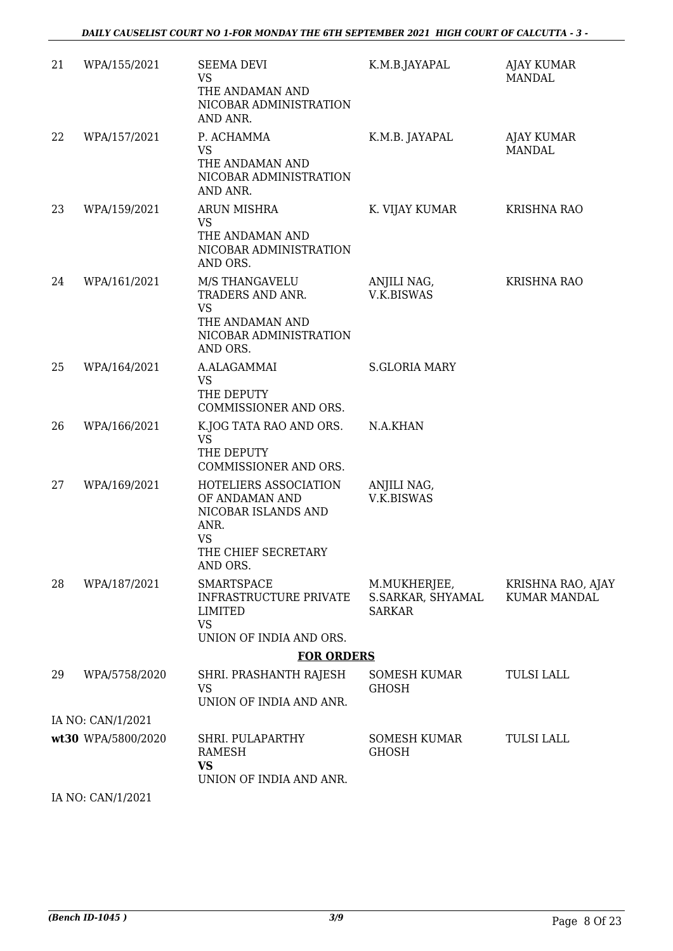| 21 | WPA/155/2021       | <b>SEEMA DEVI</b><br><b>VS</b><br>THE ANDAMAN AND<br>NICOBAR ADMINISTRATION<br>AND ANR.                                | K.M.B.JAYAPAL                                      | AJAY KUMAR<br>MANDAL              |
|----|--------------------|------------------------------------------------------------------------------------------------------------------------|----------------------------------------------------|-----------------------------------|
| 22 | WPA/157/2021       | P. ACHAMMA<br><b>VS</b><br>THE ANDAMAN AND<br>NICOBAR ADMINISTRATION<br>AND ANR.                                       | K.M.B. JAYAPAL                                     | AJAY KUMAR<br><b>MANDAL</b>       |
| 23 | WPA/159/2021       | ARUN MISHRA<br><b>VS</b><br>THE ANDAMAN AND<br>NICOBAR ADMINISTRATION<br>AND ORS.                                      | K. VIJAY KUMAR                                     | <b>KRISHNA RAO</b>                |
| 24 | WPA/161/2021       | M/S THANGAVELU<br>TRADERS AND ANR.<br><b>VS</b><br>THE ANDAMAN AND<br>NICOBAR ADMINISTRATION<br>AND ORS.               | ANJILI NAG,<br><b>V.K.BISWAS</b>                   | <b>KRISHNA RAO</b>                |
| 25 | WPA/164/2021       | A.ALAGAMMAI<br><b>VS</b><br>THE DEPUTY<br>COMMISSIONER AND ORS.                                                        | <b>S.GLORIA MARY</b>                               |                                   |
| 26 | WPA/166/2021       | K.JOG TATA RAO AND ORS.<br><b>VS</b><br>THE DEPUTY<br>COMMISSIONER AND ORS.                                            | N.A.KHAN                                           |                                   |
| 27 | WPA/169/2021       | HOTELIERS ASSOCIATION<br>OF ANDAMAN AND<br>NICOBAR ISLANDS AND<br>ANR.<br><b>VS</b><br>THE CHIEF SECRETARY<br>AND ORS. | ANJILI NAG,<br>V.K.BISWAS                          |                                   |
| 28 | WPA/187/2021       | <b>SMARTSPACE</b><br><b>INFRASTRUCTURE PRIVATE</b><br>LIMITED<br><b>VS</b><br>UNION OF INDIA AND ORS.                  | M.MUKHERJEE,<br>S.SARKAR, SHYAMAL<br><b>SARKAR</b> | KRISHNA RAO, AJAY<br>KUMAR MANDAL |
|    |                    | <b>FOR ORDERS</b>                                                                                                      |                                                    |                                   |
| 29 | WPA/5758/2020      | SHRI. PRASHANTH RAJESH<br>VS<br>UNION OF INDIA AND ANR.                                                                | SOMESH KUMAR<br><b>GHOSH</b>                       | <b>TULSI LALL</b>                 |
|    | IA NO: CAN/1/2021  |                                                                                                                        |                                                    |                                   |
|    | wt30 WPA/5800/2020 | SHRI. PULAPARTHY<br>RAMESH<br><b>VS</b><br>UNION OF INDIA AND ANR.                                                     | SOMESH KUMAR<br><b>GHOSH</b>                       | <b>TULSI LALL</b>                 |

IA NO: CAN/1/2021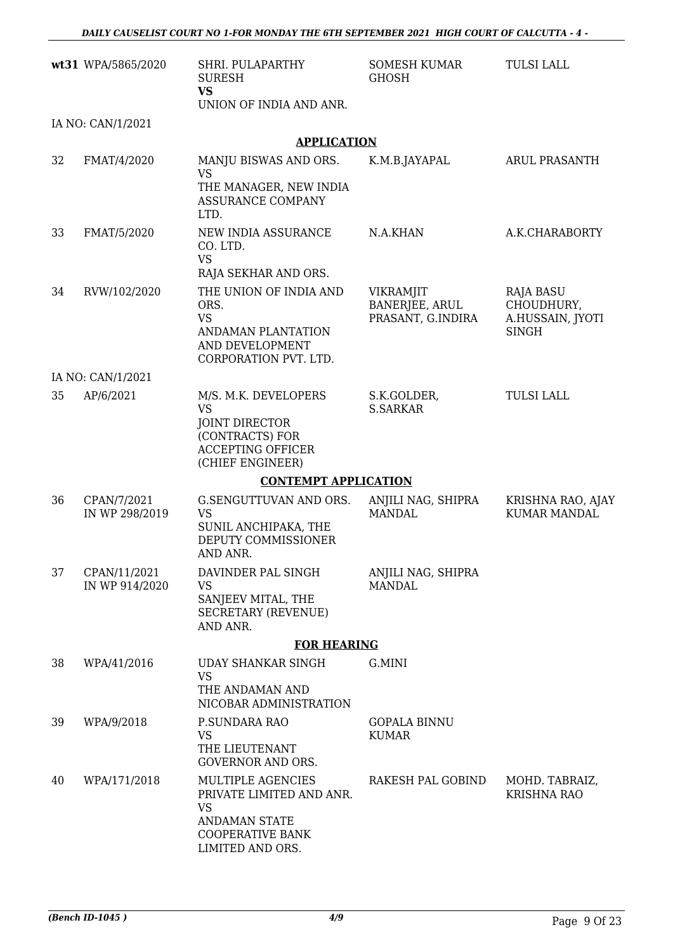|    | wt31 WPA/5865/2020             | SHRI. PULAPARTHY<br><b>SURESH</b><br><b>VS</b><br>UNION OF INDIA AND ANR.                                                                | <b>SOMESH KUMAR</b><br><b>GHOSH</b>                     | <b>TULSI LALL</b>                                                  |
|----|--------------------------------|------------------------------------------------------------------------------------------------------------------------------------------|---------------------------------------------------------|--------------------------------------------------------------------|
|    | IA NO: CAN/1/2021              |                                                                                                                                          |                                                         |                                                                    |
|    |                                | <b>APPLICATION</b>                                                                                                                       |                                                         |                                                                    |
| 32 | FMAT/4/2020                    | MANJU BISWAS AND ORS.<br><b>VS</b><br>THE MANAGER, NEW INDIA<br><b>ASSURANCE COMPANY</b>                                                 | K.M.B.JAYAPAL                                           | <b>ARUL PRASANTH</b>                                               |
|    |                                | LTD.                                                                                                                                     |                                                         |                                                                    |
| 33 | FMAT/5/2020                    | NEW INDIA ASSURANCE<br>CO. LTD.<br><b>VS</b><br>RAJA SEKHAR AND ORS.                                                                     | N.A.KHAN                                                | A.K.CHARABORTY                                                     |
| 34 | RVW/102/2020                   | THE UNION OF INDIA AND<br>ORS.<br><b>VS</b><br>ANDAMAN PLANTATION<br>AND DEVELOPMENT<br>CORPORATION PVT. LTD.                            | <b>VIKRAMJIT</b><br>BANERJEE, ARUL<br>PRASANT, G.INDIRA | <b>RAJA BASU</b><br>CHOUDHURY,<br>A.HUSSAIN, JYOTI<br><b>SINGH</b> |
|    | IA NO: CAN/1/2021              |                                                                                                                                          |                                                         |                                                                    |
| 35 | AP/6/2021                      | M/S. M.K. DEVELOPERS<br><b>VS</b><br><b>JOINT DIRECTOR</b><br>(CONTRACTS) FOR<br><b>ACCEPTING OFFICER</b><br>(CHIEF ENGINEER)            | S.K.GOLDER,<br><b>S.SARKAR</b>                          | <b>TULSI LALL</b>                                                  |
|    |                                | <b>CONTEMPT APPLICATION</b>                                                                                                              |                                                         |                                                                    |
| 36 | CPAN/7/2021<br>IN WP 298/2019  | G.SENGUTTUVAN AND ORS.<br><b>VS</b><br>SUNIL ANCHIPAKA, THE<br>DEPUTY COMMISSIONER<br>AND ANR.                                           | ANJILI NAG, SHIPRA<br><b>MANDAL</b>                     | KRISHNA RAO, AJAY<br><b>KUMAR MANDAL</b>                           |
| 37 | CPAN/11/2021<br>IN WP 914/2020 | DAVINDER PAL SINGH<br><b>VS</b><br>SANJEEV MITAL, THE<br><b>SECRETARY (REVENUE)</b><br>AND ANR.                                          | ANJILI NAG, SHIPRA<br><b>MANDAL</b>                     |                                                                    |
|    |                                | <b>FOR HEARING</b>                                                                                                                       |                                                         |                                                                    |
| 38 | WPA/41/2016                    | UDAY SHANKAR SINGH<br><b>VS</b><br>THE ANDAMAN AND<br>NICOBAR ADMINISTRATION                                                             | G.MINI                                                  |                                                                    |
| 39 | WPA/9/2018                     | P.SUNDARA RAO<br><b>VS</b><br>THE LIEUTENANT<br><b>GOVERNOR AND ORS.</b>                                                                 | <b>GOPALA BINNU</b><br><b>KUMAR</b>                     |                                                                    |
| 40 | WPA/171/2018                   | <b>MULTIPLE AGENCIES</b><br>PRIVATE LIMITED AND ANR.<br><b>VS</b><br><b>ANDAMAN STATE</b><br><b>COOPERATIVE BANK</b><br>LIMITED AND ORS. | RAKESH PAL GOBIND                                       | MOHD. TABRAIZ,<br><b>KRISHNA RAO</b>                               |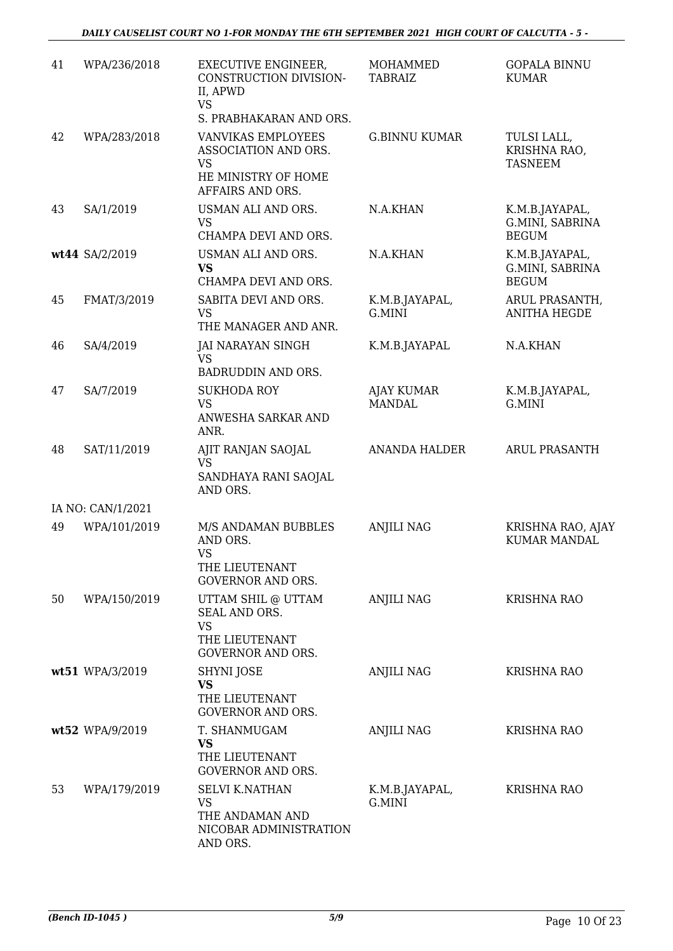| 41 | WPA/236/2018      | <b>EXECUTIVE ENGINEER,</b><br>CONSTRUCTION DIVISION-<br>II, APWD                               | MOHAMMED<br><b>TABRAIZ</b>         | <b>GOPALA BINNU</b><br><b>KUMAR</b>               |
|----|-------------------|------------------------------------------------------------------------------------------------|------------------------------------|---------------------------------------------------|
|    |                   | <b>VS</b><br>S. PRABHAKARAN AND ORS.                                                           |                                    |                                                   |
| 42 | WPA/283/2018      | VANVIKAS EMPLOYEES<br>ASSOCIATION AND ORS.<br>VS<br>HE MINISTRY OF HOME<br>AFFAIRS AND ORS.    | <b>G.BINNU KUMAR</b>               | TULSI LALL,<br>KRISHNA RAO,<br><b>TASNEEM</b>     |
| 43 | SA/1/2019         | USMAN ALI AND ORS.<br><b>VS</b><br>CHAMPA DEVI AND ORS.                                        | N.A.KHAN                           | K.M.B.JAYAPAL,<br>G.MINI, SABRINA<br><b>BEGUM</b> |
|    | wt44 SA/2/2019    | USMAN ALI AND ORS.<br><b>VS</b><br>CHAMPA DEVI AND ORS.                                        | N.A.KHAN                           | K.M.B.JAYAPAL,<br>G.MINI, SABRINA<br><b>BEGUM</b> |
| 45 | FMAT/3/2019       | SABITA DEVI AND ORS.<br><b>VS</b><br>THE MANAGER AND ANR.                                      | K.M.B.JAYAPAL,<br>G.MINI           | ARUL PRASANTH,<br><b>ANITHA HEGDE</b>             |
| 46 | SA/4/2019         | JAI NARAYAN SINGH<br><b>VS</b><br>BADRUDDIN AND ORS.                                           | K.M.B.JAYAPAL                      | N.A.KHAN                                          |
| 47 | SA/7/2019         | <b>SUKHODA ROY</b><br><b>VS</b><br>ANWESHA SARKAR AND<br>ANR.                                  | <b>AJAY KUMAR</b><br><b>MANDAL</b> | K.M.B.JAYAPAL,<br>G.MINI                          |
| 48 | SAT/11/2019       | AJIT RANJAN SAOJAL<br><b>VS</b><br>SANDHAYA RANI SAOJAL<br>AND ORS.                            | <b>ANANDA HALDER</b>               | <b>ARUL PRASANTH</b>                              |
|    | IA NO: CAN/1/2021 |                                                                                                |                                    |                                                   |
| 49 | WPA/101/2019      | M/S ANDAMAN BUBBLES<br>AND ORS.<br><b>VS</b><br>THE LIEUTENANT<br><b>GOVERNOR AND ORS.</b>     | <b>ANJILI NAG</b>                  | KRISHNA RAO, AJAY<br><b>KUMAR MANDAL</b>          |
| 50 | WPA/150/2019      | UTTAM SHIL @ UTTAM<br>SEAL AND ORS.<br><b>VS</b><br>THE LIEUTENANT<br><b>GOVERNOR AND ORS.</b> | <b>ANJILI NAG</b>                  | <b>KRISHNA RAO</b>                                |
|    | wt51 WPA/3/2019   | SHYNI JOSE<br><b>VS</b><br>THE LIEUTENANT<br><b>GOVERNOR AND ORS.</b>                          | <b>ANJILI NAG</b>                  | <b>KRISHNA RAO</b>                                |
|    | wt52 WPA/9/2019   | T. SHANMUGAM<br><b>VS</b><br>THE LIEUTENANT<br><b>GOVERNOR AND ORS.</b>                        | <b>ANJILI NAG</b>                  | <b>KRISHNA RAO</b>                                |
| 53 | WPA/179/2019      | <b>SELVI K.NATHAN</b><br><b>VS</b><br>THE ANDAMAN AND<br>NICOBAR ADMINISTRATION<br>AND ORS.    | K.M.B.JAYAPAL,<br>G.MINI           | <b>KRISHNA RAO</b>                                |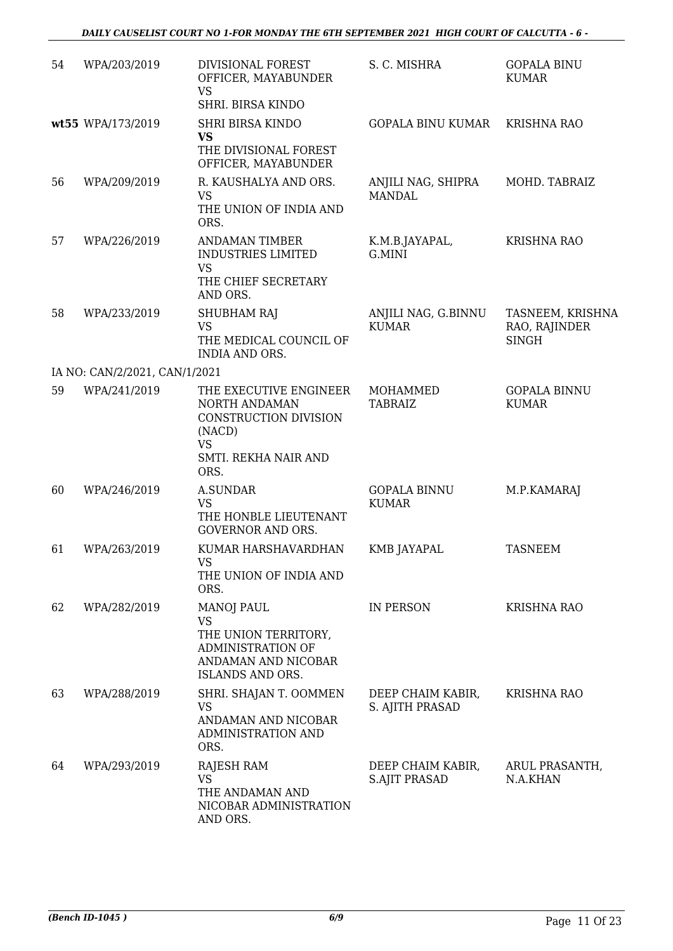| 54 | WPA/203/2019                  | DIVISIONAL FOREST<br>OFFICER, MAYABUNDER<br><b>VS</b><br>SHRI. BIRSA KINDO                                              | S. C. MISHRA                              | <b>GOPALA BINU</b><br><b>KUMAR</b>                |
|----|-------------------------------|-------------------------------------------------------------------------------------------------------------------------|-------------------------------------------|---------------------------------------------------|
|    | wt55 WPA/173/2019             | <b>SHRI BIRSA KINDO</b><br><b>VS</b><br>THE DIVISIONAL FOREST<br>OFFICER, MAYABUNDER                                    | <b>GOPALA BINU KUMAR</b>                  | KRISHNA RAO                                       |
| 56 | WPA/209/2019                  | R. KAUSHALYA AND ORS.<br><b>VS</b><br>THE UNION OF INDIA AND<br>ORS.                                                    | ANJILI NAG, SHIPRA<br><b>MANDAL</b>       | MOHD. TABRAIZ                                     |
| 57 | WPA/226/2019                  | <b>ANDAMAN TIMBER</b><br><b>INDUSTRIES LIMITED</b><br><b>VS</b><br>THE CHIEF SECRETARY<br>AND ORS.                      | K.M.B.JAYAPAL,<br>G.MINI                  | <b>KRISHNA RAO</b>                                |
| 58 | WPA/233/2019                  | SHUBHAM RAJ<br><b>VS</b><br>THE MEDICAL COUNCIL OF<br><b>INDIA AND ORS.</b>                                             | ANJILI NAG, G.BINNU<br><b>KUMAR</b>       | TASNEEM, KRISHNA<br>RAO, RAJINDER<br><b>SINGH</b> |
|    | IA NO: CAN/2/2021, CAN/1/2021 |                                                                                                                         |                                           |                                                   |
| 59 | WPA/241/2019                  | THE EXECUTIVE ENGINEER<br>NORTH ANDAMAN<br>CONSTRUCTION DIVISION<br>(NACD)<br><b>VS</b><br>SMTI. REKHA NAIR AND<br>ORS. | <b>MOHAMMED</b><br><b>TABRAIZ</b>         | <b>GOPALA BINNU</b><br><b>KUMAR</b>               |
| 60 | WPA/246/2019                  | <b>A.SUNDAR</b><br><b>VS</b><br>THE HONBLE LIEUTENANT<br><b>GOVERNOR AND ORS.</b>                                       | <b>GOPALA BINNU</b><br><b>KUMAR</b>       | M.P.KAMARAJ                                       |
| 61 | WPA/263/2019                  | KUMAR HARSHAVARDHAN<br>VS<br>THE UNION OF INDIA AND<br>ORS.                                                             | KMB JAYAPAL                               | TASNEEM                                           |
| 62 | WPA/282/2019                  | <b>MANOJ PAUL</b><br><b>VS</b><br>THE UNION TERRITORY,<br>ADMINISTRATION OF<br>ANDAMAN AND NICOBAR<br>ISLANDS AND ORS.  | IN PERSON                                 | <b>KRISHNA RAO</b>                                |
| 63 | WPA/288/2019                  | SHRI. SHAJAN T. OOMMEN<br>VS<br>ANDAMAN AND NICOBAR<br>ADMINISTRATION AND<br>ORS.                                       | DEEP CHAIM KABIR,<br>S. AJITH PRASAD      | <b>KRISHNA RAO</b>                                |
| 64 | WPA/293/2019                  | RAJESH RAM<br><b>VS</b><br>THE ANDAMAN AND<br>NICOBAR ADMINISTRATION<br>AND ORS.                                        | DEEP CHAIM KABIR,<br><b>S.AJIT PRASAD</b> | ARUL PRASANTH,<br>N.A.KHAN                        |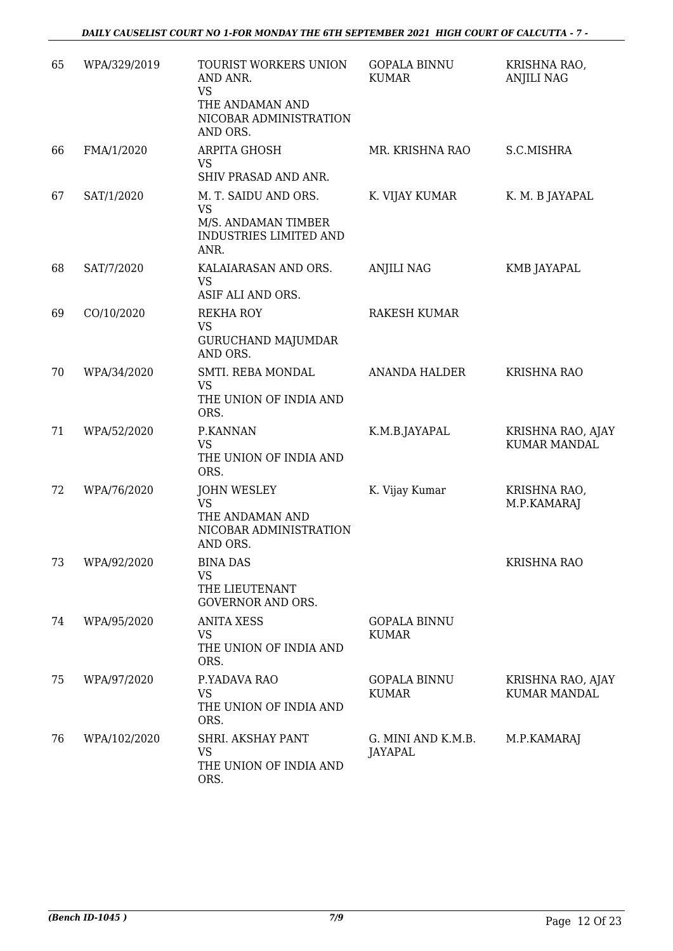*DAILY CAUSELIST COURT NO 1-FOR MONDAY THE 6TH SEPTEMBER 2021 HIGH COURT OF CALCUTTA - 7 -* 

| 65 | WPA/329/2019 | TOURIST WORKERS UNION<br>AND ANR.<br><b>VS</b><br>THE ANDAMAN AND<br>NICOBAR ADMINISTRATION<br>AND ORS. | <b>GOPALA BINNU</b><br><b>KUMAR</b> | KRISHNA RAO,<br><b>ANJILI NAG</b>        |
|----|--------------|---------------------------------------------------------------------------------------------------------|-------------------------------------|------------------------------------------|
| 66 | FMA/1/2020   | ARPITA GHOSH<br><b>VS</b><br>SHIV PRASAD AND ANR.                                                       | MR. KRISHNA RAO                     | S.C.MISHRA                               |
| 67 | SAT/1/2020   | M. T. SAIDU AND ORS.<br><b>VS</b><br>M/S. ANDAMAN TIMBER<br>INDUSTRIES LIMITED AND<br>ANR.              | K. VIJAY KUMAR                      | K. M. B JAYAPAL                          |
| 68 | SAT/7/2020   | KALAIARASAN AND ORS.<br><b>VS</b><br>ASIF ALI AND ORS.                                                  | ANJILI NAG                          | KMB JAYAPAL                              |
| 69 | CO/10/2020   | <b>REKHA ROY</b><br><b>VS</b><br><b>GURUCHAND MAJUMDAR</b><br>AND ORS.                                  | <b>RAKESH KUMAR</b>                 |                                          |
| 70 | WPA/34/2020  | SMTI. REBA MONDAL<br><b>VS</b><br>THE UNION OF INDIA AND<br>ORS.                                        | <b>ANANDA HALDER</b>                | <b>KRISHNA RAO</b>                       |
| 71 | WPA/52/2020  | P.KANNAN<br><b>VS</b><br>THE UNION OF INDIA AND<br>ORS.                                                 | K.M.B.JAYAPAL                       | KRISHNA RAO, AJAY<br><b>KUMAR MANDAL</b> |
| 72 | WPA/76/2020  | <b>JOHN WESLEY</b><br><b>VS</b><br>THE ANDAMAN AND<br>NICOBAR ADMINISTRATION<br>AND ORS.                | K. Vijay Kumar                      | KRISHNA RAO,<br>M.P.KAMARAJ              |
| 73 | WPA/92/2020  | <b>BINA DAS</b><br>VS<br>THE LIEUTENANT<br><b>GOVERNOR AND ORS.</b>                                     |                                     | KRISHNA RAO                              |
| 74 | WPA/95/2020  | <b>ANITA XESS</b><br><b>VS</b><br>THE UNION OF INDIA AND<br>ORS.                                        | <b>GOPALA BINNU</b><br><b>KUMAR</b> |                                          |
| 75 | WPA/97/2020  | P.YADAVA RAO<br><b>VS</b><br>THE UNION OF INDIA AND<br>ORS.                                             | <b>GOPALA BINNU</b><br><b>KUMAR</b> | KRISHNA RAO, AJAY<br><b>KUMAR MANDAL</b> |
| 76 | WPA/102/2020 | SHRI. AKSHAY PANT<br>VS<br>THE UNION OF INDIA AND<br>ORS.                                               | G. MINI AND K.M.B.<br>JAYAPAL       | M.P.KAMARAJ                              |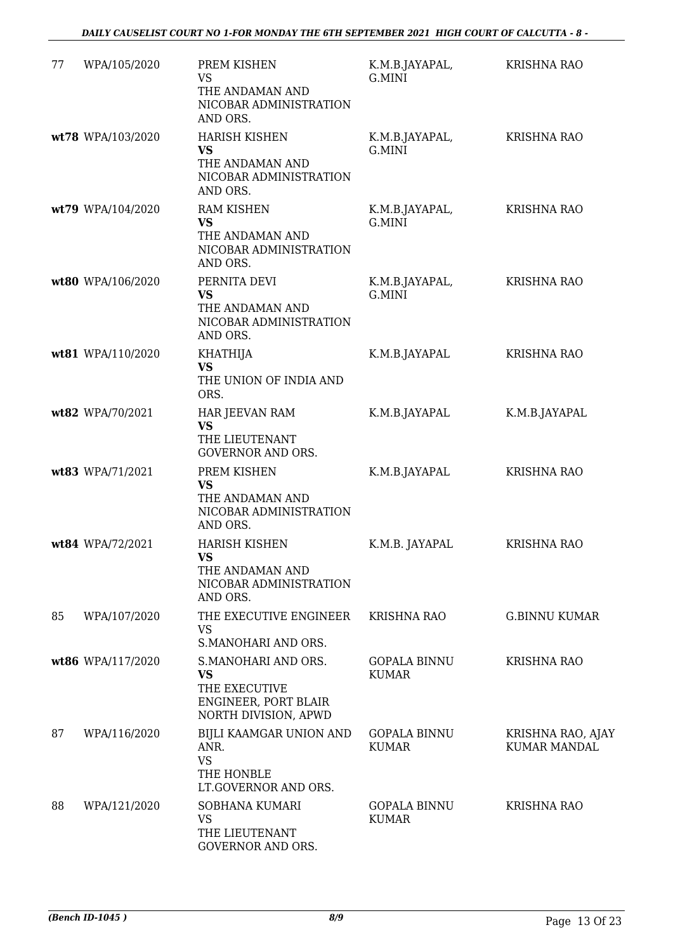| 77 | WPA/105/2020      | PREM KISHEN<br><b>VS</b><br>THE ANDAMAN AND<br>NICOBAR ADMINISTRATION<br>AND ORS.                 | K.M.B.JAYAPAL,<br>G.MINI            | <b>KRISHNA RAO</b>                |
|----|-------------------|---------------------------------------------------------------------------------------------------|-------------------------------------|-----------------------------------|
|    | wt78 WPA/103/2020 | <b>HARISH KISHEN</b><br><b>VS</b><br>THE ANDAMAN AND<br>NICOBAR ADMINISTRATION<br>AND ORS.        | K.M.B.JAYAPAL,<br>G.MINI            | <b>KRISHNA RAO</b>                |
|    | wt79 WPA/104/2020 | <b>RAM KISHEN</b><br>VS<br>THE ANDAMAN AND<br>NICOBAR ADMINISTRATION<br>AND ORS.                  | K.M.B.JAYAPAL,<br>G.MINI            | <b>KRISHNA RAO</b>                |
|    | wt80 WPA/106/2020 | PERNITA DEVI<br><b>VS</b><br>THE ANDAMAN AND<br>NICOBAR ADMINISTRATION<br>AND ORS.                | K.M.B.JAYAPAL,<br>G.MINI            | <b>KRISHNA RAO</b>                |
|    | wt81 WPA/110/2020 | <b>KHATHIJA</b><br><b>VS</b><br>THE UNION OF INDIA AND<br>ORS.                                    | K.M.B.JAYAPAL                       | <b>KRISHNA RAO</b>                |
|    | wt82 WPA/70/2021  | HAR JEEVAN RAM<br>VS<br>THE LIEUTENANT<br><b>GOVERNOR AND ORS.</b>                                | K.M.B.JAYAPAL                       | K.M.B.JAYAPAL                     |
|    | wt83 WPA/71/2021  | PREM KISHEN<br><b>VS</b><br>THE ANDAMAN AND<br>NICOBAR ADMINISTRATION<br>AND ORS.                 | K.M.B.JAYAPAL                       | <b>KRISHNA RAO</b>                |
|    | wt84 WPA/72/2021  | <b>HARISH KISHEN</b><br>VS.<br>THE ANDAMAN AND<br>NICOBAR ADMINISTRATION<br>AND ORS.              | K.M.B. JAYAPAL                      | <b>KRISHNA RAO</b>                |
| 85 | WPA/107/2020      | THE EXECUTIVE ENGINEER<br><b>VS</b><br>S.MANOHARI AND ORS.                                        | <b>KRISHNA RAO</b>                  | <b>G.BINNU KUMAR</b>              |
|    | wt86 WPA/117/2020 | S.MANOHARI AND ORS.<br><b>VS</b><br>THE EXECUTIVE<br>ENGINEER, PORT BLAIR<br>NORTH DIVISION, APWD | <b>GOPALA BINNU</b><br><b>KUMAR</b> | <b>KRISHNA RAO</b>                |
| 87 | WPA/116/2020      | BIJLI KAAMGAR UNION AND<br>ANR.<br><b>VS</b><br>THE HONBLE<br>LT.GOVERNOR AND ORS.                | <b>GOPALA BINNU</b><br><b>KUMAR</b> | KRISHNA RAO, AJAY<br>KUMAR MANDAL |
| 88 | WPA/121/2020      | SOBHANA KUMARI<br>VS<br>THE LIEUTENANT<br>GOVERNOR AND ORS.                                       | <b>GOPALA BINNU</b><br><b>KUMAR</b> | <b>KRISHNA RAO</b>                |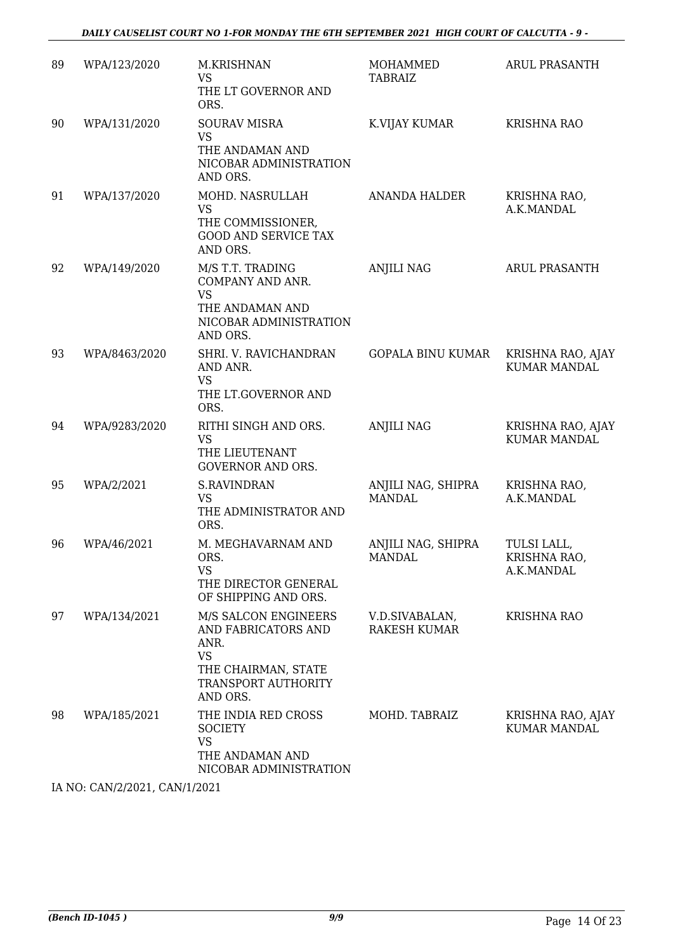| 89 | WPA/123/2020  | M.KRISHNAN<br><b>VS</b><br>THE LT GOVERNOR AND<br>ORS.                                                                     | MOHAMMED<br>TABRAIZ                   | ARUL PRASANTH                             |
|----|---------------|----------------------------------------------------------------------------------------------------------------------------|---------------------------------------|-------------------------------------------|
| 90 | WPA/131/2020  | <b>SOURAV MISRA</b><br><b>VS</b><br>THE ANDAMAN AND<br>NICOBAR ADMINISTRATION<br>AND ORS.                                  | K.VIJAY KUMAR                         | <b>KRISHNA RAO</b>                        |
| 91 | WPA/137/2020  | MOHD. NASRULLAH<br><b>VS</b><br>THE COMMISSIONER,<br><b>GOOD AND SERVICE TAX</b><br>AND ORS.                               | ANANDA HALDER                         | KRISHNA RAO,<br>A.K.MANDAL                |
| 92 | WPA/149/2020  | M/S T.T. TRADING<br>COMPANY AND ANR.<br><b>VS</b><br>THE ANDAMAN AND<br>NICOBAR ADMINISTRATION<br>AND ORS.                 | <b>ANJILI NAG</b>                     | <b>ARUL PRASANTH</b>                      |
| 93 | WPA/8463/2020 | SHRI. V. RAVICHANDRAN<br>AND ANR.<br><b>VS</b><br>THE LT.GOVERNOR AND<br>ORS.                                              | <b>GOPALA BINU KUMAR</b>              | KRISHNA RAO, AJAY<br><b>KUMAR MANDAL</b>  |
| 94 | WPA/9283/2020 | RITHI SINGH AND ORS.<br><b>VS</b><br>THE LIEUTENANT<br><b>GOVERNOR AND ORS.</b>                                            | <b>ANJILI NAG</b>                     | KRISHNA RAO, AJAY<br><b>KUMAR MANDAL</b>  |
| 95 | WPA/2/2021    | <b>S.RAVINDRAN</b><br><b>VS</b><br>THE ADMINISTRATOR AND<br>ORS.                                                           | ANJILI NAG, SHIPRA<br><b>MANDAL</b>   | KRISHNA RAO,<br>A.K.MANDAL                |
| 96 | WPA/46/2021   | M. MEGHAVARNAM AND<br>ORS.<br><b>VS</b><br>THE DIRECTOR GENERAL<br>OF SHIPPING AND ORS.                                    | ANJILI NAG, SHIPRA<br><b>MANDAL</b>   | TULSI LALL,<br>KRISHNA RAO,<br>A.K.MANDAL |
| 97 | WPA/134/2021  | M/S SALCON ENGINEERS<br>AND FABRICATORS AND<br>ANR.<br><b>VS</b><br>THE CHAIRMAN, STATE<br>TRANSPORT AUTHORITY<br>AND ORS. | V.D.SIVABALAN,<br><b>RAKESH KUMAR</b> | <b>KRISHNA RAO</b>                        |
| 98 | WPA/185/2021  | THE INDIA RED CROSS<br><b>SOCIETY</b><br><b>VS</b><br>THE ANDAMAN AND<br>NICOBAR ADMINISTRATION                            | MOHD. TABRAIZ                         | KRISHNA RAO, AJAY<br><b>KUMAR MANDAL</b>  |

IA NO: CAN/2/2021, CAN/1/2021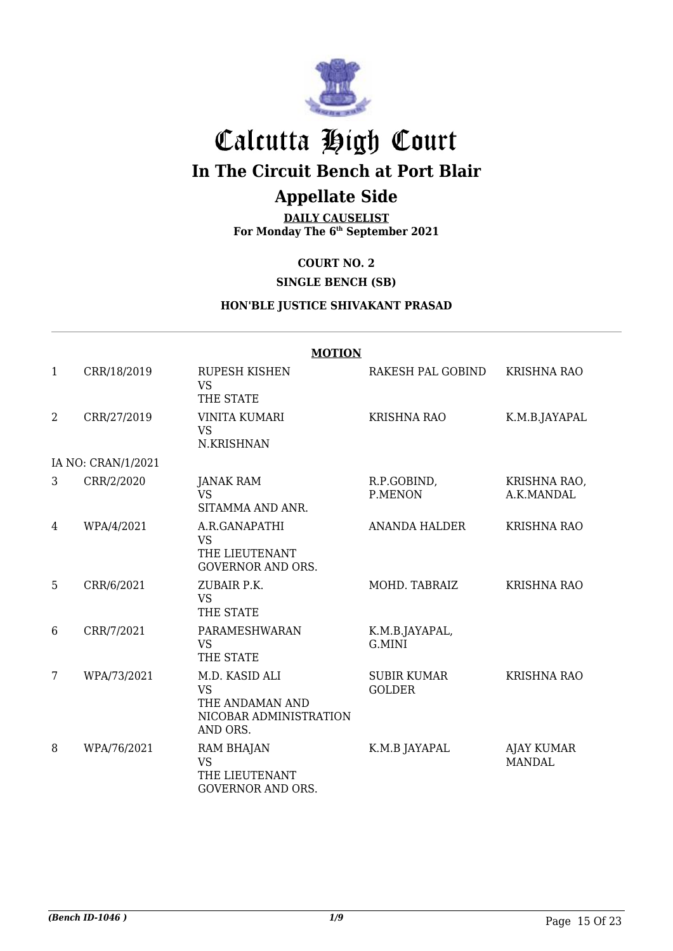

# Calcutta High Court **In The Circuit Bench at Port Blair**

### **Appellate Side**

**DAILY CAUSELIST For Monday The 6th September 2021**

**COURT NO. 2**

**SINGLE BENCH (SB)**

#### **HON'BLE JUSTICE SHIVAKANT PRASAD**

|              | <b>MOTION</b>      |                                                                                      |                                     |                                    |  |  |
|--------------|--------------------|--------------------------------------------------------------------------------------|-------------------------------------|------------------------------------|--|--|
| $\mathbf{1}$ | CRR/18/2019        | <b>RUPESH KISHEN</b><br><b>VS</b><br>THE STATE                                       | RAKESH PAL GOBIND                   | KRISHNA RAO                        |  |  |
| 2            | CRR/27/2019        | <b>VINITA KUMARI</b><br><b>VS</b><br>N.KRISHNAN                                      | <b>KRISHNA RAO</b>                  | K.M.B.JAYAPAL                      |  |  |
|              | IA NO: CRAN/1/2021 |                                                                                      |                                     |                                    |  |  |
| 3            | CRR/2/2020         | <b>JANAK RAM</b><br><b>VS</b><br>SITAMMA AND ANR.                                    | R.P.GOBIND,<br>P.MENON              | KRISHNA RAO,<br>A.K.MANDAL         |  |  |
| 4            | WPA/4/2021         | A.R.GANAPATHI<br><b>VS</b><br>THE LIEUTENANT<br><b>GOVERNOR AND ORS.</b>             | <b>ANANDA HALDER</b>                | <b>KRISHNA RAO</b>                 |  |  |
| 5            | CRR/6/2021         | ZUBAIR P.K.<br><b>VS</b><br>THE STATE                                                | MOHD. TABRAIZ                       | <b>KRISHNA RAO</b>                 |  |  |
| 6            | CRR/7/2021         | PARAMESHWARAN<br><b>VS</b><br>THE STATE                                              | K.M.B.JAYAPAL,<br>G.MINI            |                                    |  |  |
| 7            | WPA/73/2021        | M.D. KASID ALI<br><b>VS</b><br>THE ANDAMAN AND<br>NICOBAR ADMINISTRATION<br>AND ORS. | <b>SUBIR KUMAR</b><br><b>GOLDER</b> | <b>KRISHNA RAO</b>                 |  |  |
| 8            | WPA/76/2021        | <b>RAM BHAJAN</b><br><b>VS</b><br>THE LIEUTENANT<br><b>GOVERNOR AND ORS.</b>         | K.M.B JAYAPAL                       | <b>AJAY KUMAR</b><br><b>MANDAL</b> |  |  |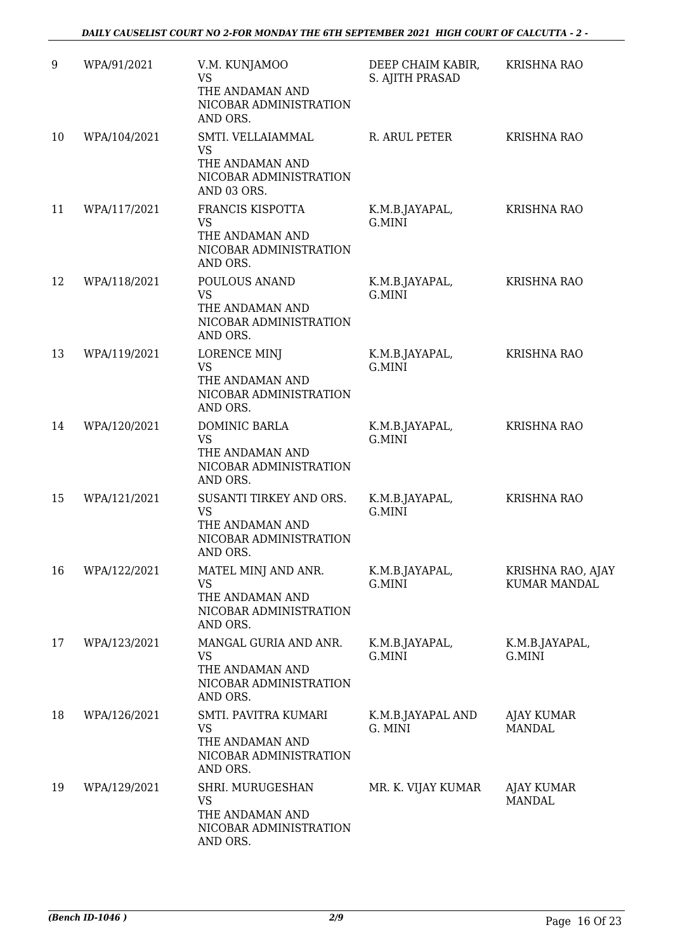| 9  | WPA/91/2021  | V.M. KUNJAMOO<br><b>VS</b><br>THE ANDAMAN AND<br>NICOBAR ADMINISTRATION<br>AND ORS.           | DEEP CHAIM KABIR,<br>S. AJITH PRASAD | <b>KRISHNA RAO</b>                       |
|----|--------------|-----------------------------------------------------------------------------------------------|--------------------------------------|------------------------------------------|
| 10 | WPA/104/2021 | SMTI. VELLAIAMMAL<br><b>VS</b><br>THE ANDAMAN AND<br>NICOBAR ADMINISTRATION<br>AND 03 ORS.    | R. ARUL PETER                        | <b>KRISHNA RAO</b>                       |
| 11 | WPA/117/2021 | FRANCIS KISPOTTA<br>VS<br>THE ANDAMAN AND<br>NICOBAR ADMINISTRATION<br>AND ORS.               | K.M.B.JAYAPAL,<br>G.MINI             | <b>KRISHNA RAO</b>                       |
| 12 | WPA/118/2021 | POULOUS ANAND<br><b>VS</b><br>THE ANDAMAN AND<br>NICOBAR ADMINISTRATION<br>AND ORS.           | K.M.B.JAYAPAL,<br>G.MINI             | <b>KRISHNA RAO</b>                       |
| 13 | WPA/119/2021 | LORENCE MINJ<br><b>VS</b><br>THE ANDAMAN AND<br>NICOBAR ADMINISTRATION<br>AND ORS.            | K.M.B.JAYAPAL,<br>G.MINI             | <b>KRISHNA RAO</b>                       |
| 14 | WPA/120/2021 | DOMINIC BARLA<br><b>VS</b><br>THE ANDAMAN AND<br>NICOBAR ADMINISTRATION<br>AND ORS.           | K.M.B.JAYAPAL,<br>G.MINI             | <b>KRISHNA RAO</b>                       |
| 15 | WPA/121/2021 | SUSANTI TIRKEY AND ORS.<br><b>VS</b><br>THE ANDAMAN AND<br>NICOBAR ADMINISTRATION<br>AND ORS. | K.M.B.JAYAPAL,<br>G.MINI             | <b>KRISHNA RAO</b>                       |
| 16 | WPA/122/2021 | MATEL MINJ AND ANR.<br><b>VS</b><br>THE ANDAMAN AND<br>NICOBAR ADMINISTRATION<br>AND ORS.     | K.M.B.JAYAPAL,<br>G.MINI             | KRISHNA RAO, AJAY<br><b>KUMAR MANDAL</b> |
| 17 | WPA/123/2021 | MANGAL GURIA AND ANR.<br>VS<br>THE ANDAMAN AND<br>NICOBAR ADMINISTRATION<br>AND ORS.          | K.M.B.JAYAPAL,<br>G.MINI             | K.M.B.JAYAPAL,<br>G.MINI                 |
| 18 | WPA/126/2021 | SMTI. PAVITRA KUMARI<br><b>VS</b><br>THE ANDAMAN AND<br>NICOBAR ADMINISTRATION<br>AND ORS.    | K.M.B.JAYAPAL AND<br>G. MINI         | <b>AJAY KUMAR</b><br><b>MANDAL</b>       |
| 19 | WPA/129/2021 | SHRI. MURUGESHAN<br><b>VS</b><br>THE ANDAMAN AND<br>NICOBAR ADMINISTRATION<br>AND ORS.        | MR. K. VIJAY KUMAR                   | <b>AJAY KUMAR</b><br><b>MANDAL</b>       |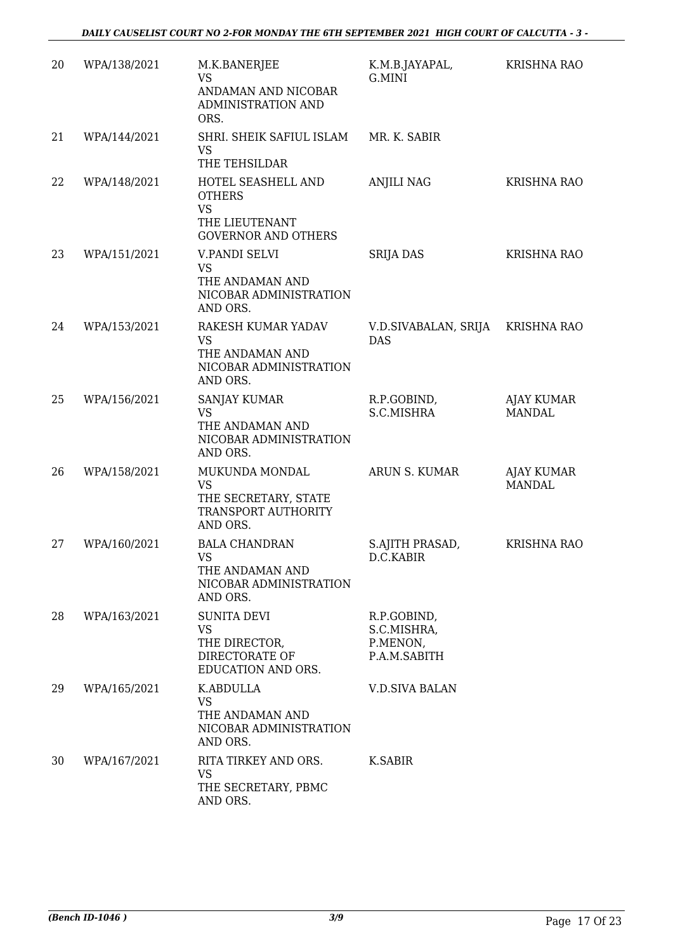| 20 | WPA/138/2021 |                                                                                                  |                                                        | <b>KRISHNA RAO</b>                 |
|----|--------------|--------------------------------------------------------------------------------------------------|--------------------------------------------------------|------------------------------------|
|    |              | M.K.BANERJEE<br><b>VS</b><br>ANDAMAN AND NICOBAR<br>ADMINISTRATION AND<br>ORS.                   | K.M.B.JAYAPAL,<br>G.MINI                               |                                    |
| 21 | WPA/144/2021 | SHRI. SHEIK SAFIUL ISLAM<br><b>VS</b><br>THE TEHSILDAR                                           | MR. K. SABIR                                           |                                    |
| 22 | WPA/148/2021 | HOTEL SEASHELL AND<br><b>OTHERS</b><br><b>VS</b><br>THE LIEUTENANT<br><b>GOVERNOR AND OTHERS</b> | <b>ANJILI NAG</b>                                      | <b>KRISHNA RAO</b>                 |
| 23 | WPA/151/2021 | V.PANDI SELVI<br><b>VS</b><br>THE ANDAMAN AND<br>NICOBAR ADMINISTRATION<br>AND ORS.              | <b>SRIJA DAS</b>                                       | <b>KRISHNA RAO</b>                 |
| 24 | WPA/153/2021 | RAKESH KUMAR YADAV<br><b>VS</b><br>THE ANDAMAN AND<br>NICOBAR ADMINISTRATION<br>AND ORS.         | V.D.SIVABALAN, SRIJA<br><b>DAS</b>                     | <b>KRISHNA RAO</b>                 |
| 25 | WPA/156/2021 | <b>SANJAY KUMAR</b><br><b>VS</b><br>THE ANDAMAN AND<br>NICOBAR ADMINISTRATION<br>AND ORS.        | R.P.GOBIND,<br>S.C.MISHRA                              | <b>AJAY KUMAR</b><br><b>MANDAL</b> |
| 26 | WPA/158/2021 | MUKUNDA MONDAL<br><b>VS</b><br>THE SECRETARY, STATE<br>TRANSPORT AUTHORITY<br>AND ORS.           | ARUN S. KUMAR                                          | AJAY KUMAR<br><b>MANDAL</b>        |
| 27 | WPA/160/2021 | <b>BALA CHANDRAN</b><br>VS<br>THE ANDAMAN AND<br>NICOBAR ADMINISTRATION<br>AND ORS.              | S.AJITH PRASAD,<br>D.C.KABIR                           | <b>KRISHNA RAO</b>                 |
| 28 | WPA/163/2021 | <b>SUNITA DEVI</b><br>VS<br>THE DIRECTOR,<br>DIRECTORATE OF<br>EDUCATION AND ORS.                | R.P.GOBIND,<br>S.C.MISHRA,<br>P.MENON,<br>P.A.M.SABITH |                                    |
| 29 | WPA/165/2021 | K.ABDULLA<br><b>VS</b><br>THE ANDAMAN AND<br>NICOBAR ADMINISTRATION<br>AND ORS.                  | <b>V.D.SIVA BALAN</b>                                  |                                    |
| 30 | WPA/167/2021 | RITA TIRKEY AND ORS.<br>VS<br>THE SECRETARY, PBMC<br>AND ORS.                                    | K.SABIR                                                |                                    |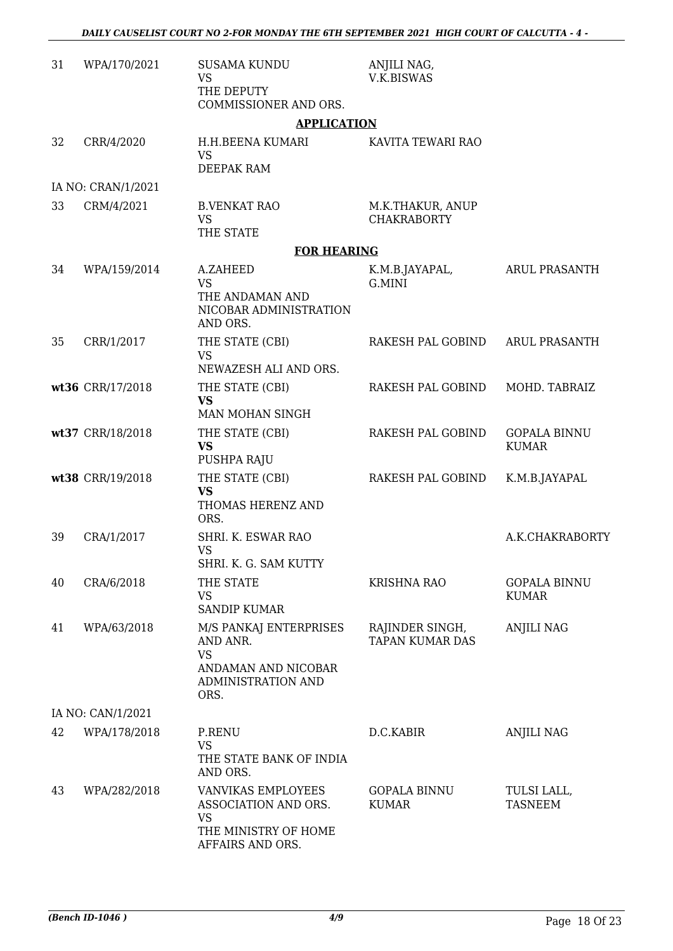| 31 | WPA/170/2021       | <b>SUSAMA KUNDU</b><br><b>VS</b><br>THE DEPUTY                                                             | ANJILI NAG,<br><b>V.K.BISWAS</b>          |                                     |
|----|--------------------|------------------------------------------------------------------------------------------------------------|-------------------------------------------|-------------------------------------|
|    |                    | COMMISSIONER AND ORS.<br><b>APPLICATION</b>                                                                |                                           |                                     |
| 32 | CRR/4/2020         | H.H.BEENA KUMARI<br><b>VS</b><br>DEEPAK RAM                                                                | KAVITA TEWARI RAO                         |                                     |
|    | IA NO: CRAN/1/2021 |                                                                                                            |                                           |                                     |
| 33 | CRM/4/2021         | <b>B.VENKAT RAO</b><br><b>VS</b><br>THE STATE                                                              | M.K.THAKUR, ANUP<br><b>CHAKRABORTY</b>    |                                     |
|    |                    | <b>FOR HEARING</b>                                                                                         |                                           |                                     |
| 34 | WPA/159/2014       | A.ZAHEED<br><b>VS</b><br>THE ANDAMAN AND                                                                   | K.M.B.JAYAPAL,<br>G.MINI                  | <b>ARUL PRASANTH</b>                |
|    |                    | NICOBAR ADMINISTRATION<br>AND ORS.                                                                         |                                           |                                     |
| 35 | CRR/1/2017         | THE STATE (CBI)<br><b>VS</b>                                                                               | RAKESH PAL GOBIND                         | <b>ARUL PRASANTH</b>                |
|    |                    | NEWAZESH ALI AND ORS.                                                                                      |                                           |                                     |
|    | wt36 CRR/17/2018   | THE STATE (CBI)<br><b>VS</b><br>MAN MOHAN SINGH                                                            | RAKESH PAL GOBIND                         | MOHD. TABRAIZ                       |
|    | wt37 CRR/18/2018   | THE STATE (CBI)<br><b>VS</b><br>PUSHPA RAJU                                                                | RAKESH PAL GOBIND                         | <b>GOPALA BINNU</b><br><b>KUMAR</b> |
|    | wt38 CRR/19/2018   | THE STATE (CBI)<br><b>VS</b><br>THOMAS HERENZ AND<br>ORS.                                                  | RAKESH PAL GOBIND                         | K.M.B.JAYAPAL                       |
| 39 | CRA/1/2017         | SHRI. K. ESWAR RAO<br>VS<br>SHRI. K. G. SAM KUTTY                                                          |                                           | A.K.CHAKRABORTY                     |
| 40 | CRA/6/2018         | THE STATE<br><b>VS</b><br><b>SANDIP KUMAR</b>                                                              | <b>KRISHNA RAO</b>                        | <b>GOPALA BINNU</b><br><b>KUMAR</b> |
| 41 | WPA/63/2018        | M/S PANKAJ ENTERPRISES<br>AND ANR.<br><b>VS</b><br>ANDAMAN AND NICOBAR<br>ADMINISTRATION AND<br>ORS.       | RAJINDER SINGH,<br><b>TAPAN KUMAR DAS</b> | <b>ANJILI NAG</b>                   |
|    | IA NO: CAN/1/2021  |                                                                                                            |                                           |                                     |
| 42 | WPA/178/2018       | P.RENU<br><b>VS</b><br>THE STATE BANK OF INDIA<br>AND ORS.                                                 | D.C.KABIR                                 | <b>ANJILI NAG</b>                   |
| 43 | WPA/282/2018       | <b>VANVIKAS EMPLOYEES</b><br>ASSOCIATION AND ORS.<br><b>VS</b><br>THE MINISTRY OF HOME<br>AFFAIRS AND ORS. | <b>GOPALA BINNU</b><br><b>KUMAR</b>       | TULSI LALL,<br><b>TASNEEM</b>       |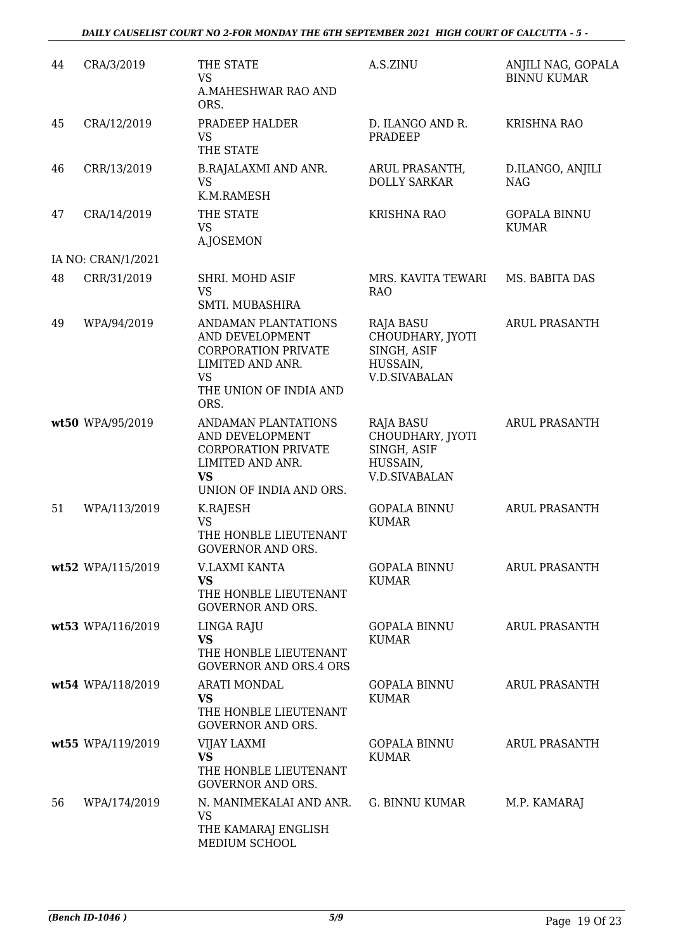#### *DAILY CAUSELIST COURT NO 2-FOR MONDAY THE 6TH SEPTEMBER 2021 HIGH COURT OF CALCUTTA - 5 -*

| 44 | CRA/3/2019         | THE STATE<br><b>VS</b><br><b>A.MAHESHWAR RAO AND</b><br>ORS.                                                                            | A.S.ZINU                                                                                | ANJILI NAG, GOPALA<br><b>BINNU KUMAR</b> |
|----|--------------------|-----------------------------------------------------------------------------------------------------------------------------------------|-----------------------------------------------------------------------------------------|------------------------------------------|
| 45 | CRA/12/2019        | PRADEEP HALDER<br><b>VS</b><br>THE STATE                                                                                                | D. ILANGO AND R.<br><b>PRADEEP</b>                                                      | <b>KRISHNA RAO</b>                       |
| 46 | CRR/13/2019        | <b>B.RAJALAXMI AND ANR.</b><br><b>VS</b><br>K.M.RAMESH                                                                                  | ARUL PRASANTH,<br><b>DOLLY SARKAR</b>                                                   | D.ILANGO, ANJILI<br><b>NAG</b>           |
| 47 | CRA/14/2019        | THE STATE<br><b>VS</b><br>A.JOSEMON                                                                                                     | <b>KRISHNA RAO</b>                                                                      | <b>GOPALA BINNU</b><br><b>KUMAR</b>      |
|    | IA NO: CRAN/1/2021 |                                                                                                                                         |                                                                                         |                                          |
| 48 | CRR/31/2019        | SHRI. MOHD ASIF<br><b>VS</b><br>SMTI. MUBASHIRA                                                                                         | MRS. KAVITA TEWARI<br><b>RAO</b>                                                        | MS. BABITA DAS                           |
| 49 | WPA/94/2019        | ANDAMAN PLANTATIONS<br>AND DEVELOPMENT<br><b>CORPORATION PRIVATE</b><br>LIMITED AND ANR.<br><b>VS</b><br>THE UNION OF INDIA AND<br>ORS. | <b>RAJA BASU</b><br>CHOUDHARY, JYOTI<br>SINGH, ASIF<br>HUSSAIN,<br><b>V.D.SIVABALAN</b> | <b>ARUL PRASANTH</b>                     |
|    | wt50 WPA/95/2019   | ANDAMAN PLANTATIONS<br>AND DEVELOPMENT<br><b>CORPORATION PRIVATE</b><br>LIMITED AND ANR.<br><b>VS</b><br>UNION OF INDIA AND ORS.        | RAJA BASU<br>CHOUDHARY, JYOTI<br>SINGH, ASIF<br>HUSSAIN,<br><b>V.D.SIVABALAN</b>        | <b>ARUL PRASANTH</b>                     |
| 51 | WPA/113/2019       | K.RAJESH<br><b>VS</b><br>THE HONBLE LIEUTENANT<br><b>GOVERNOR AND ORS.</b>                                                              | <b>GOPALA BINNU</b><br><b>KUMAR</b>                                                     | <b>ARUL PRASANTH</b>                     |
|    | wt52 WPA/115/2019  | V.LAXMI KANTA<br><b>VS</b><br>THE HONBLE LIEUTENANT<br><b>GOVERNOR AND ORS.</b>                                                         | <b>GOPALA BINNU</b><br><b>KUMAR</b>                                                     | <b>ARUL PRASANTH</b>                     |
|    | wt53 WPA/116/2019  | LINGA RAJU<br><b>VS</b><br>THE HONBLE LIEUTENANT<br><b>GOVERNOR AND ORS.4 ORS</b>                                                       | <b>GOPALA BINNU</b><br><b>KUMAR</b>                                                     | ARUL PRASANTH                            |
|    | wt54 WPA/118/2019  | <b>ARATI MONDAL</b><br><b>VS</b><br>THE HONBLE LIEUTENANT<br><b>GOVERNOR AND ORS.</b>                                                   | <b>GOPALA BINNU</b><br><b>KUMAR</b>                                                     | ARUL PRASANTH                            |
|    | wt55 WPA/119/2019  | VIJAY LAXMI<br><b>VS</b><br>THE HONBLE LIEUTENANT<br><b>GOVERNOR AND ORS.</b>                                                           | <b>GOPALA BINNU</b><br>KUMAR                                                            | <b>ARUL PRASANTH</b>                     |
| 56 | WPA/174/2019       | N. MANIMEKALAI AND ANR.<br><b>VS</b><br>THE KAMARAJ ENGLISH<br>MEDIUM SCHOOL                                                            | G. BINNU KUMAR                                                                          | M.P. KAMARAJ                             |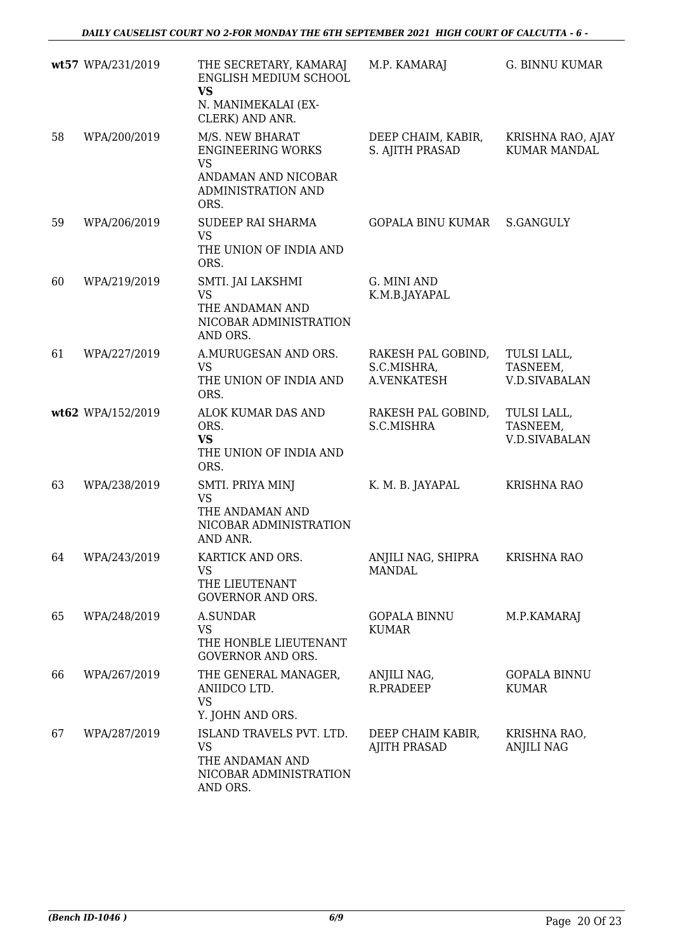|    | wt57 WPA/231/2019 | THE SECRETARY, KAMARAJ<br>ENGLISH MEDIUM SCHOOL<br><b>VS</b><br>N. MANIMEKALAI (EX-<br>CLERK) AND ANR.        | M.P. KAMARAJ                                     | <b>G. BINNU KUMAR</b>                           |
|----|-------------------|---------------------------------------------------------------------------------------------------------------|--------------------------------------------------|-------------------------------------------------|
| 58 | WPA/200/2019      | M/S. NEW BHARAT<br><b>ENGINEERING WORKS</b><br><b>VS</b><br>ANDAMAN AND NICOBAR<br>ADMINISTRATION AND<br>ORS. | DEEP CHAIM, KABIR,<br>S. AJITH PRASAD            | KRISHNA RAO, AJAY<br><b>KUMAR MANDAL</b>        |
| 59 | WPA/206/2019      | SUDEEP RAI SHARMA<br><b>VS</b><br>THE UNION OF INDIA AND<br>ORS.                                              | GOPALA BINU KUMAR                                | S.GANGULY                                       |
| 60 | WPA/219/2019      | SMTI. JAI LAKSHMI<br><b>VS</b><br>THE ANDAMAN AND<br>NICOBAR ADMINISTRATION<br>AND ORS.                       | G. MINI AND<br>K.M.B.JAYAPAL                     |                                                 |
| 61 | WPA/227/2019      | A.MURUGESAN AND ORS.<br><b>VS</b><br>THE UNION OF INDIA AND<br>ORS.                                           | RAKESH PAL GOBIND,<br>S.C.MISHRA,<br>A.VENKATESH | TULSI LALL,<br>TASNEEM,<br><b>V.D.SIVABALAN</b> |
|    | wt62 WPA/152/2019 | ALOK KUMAR DAS AND<br>ORS.<br><b>VS</b><br>THE UNION OF INDIA AND<br>ORS.                                     | RAKESH PAL GOBIND,<br>S.C.MISHRA                 | TULSI LALL,<br>TASNEEM,<br><b>V.D.SIVABALAN</b> |
| 63 | WPA/238/2019      | SMTI. PRIYA MINJ<br><b>VS</b><br>THE ANDAMAN AND<br>NICOBAR ADMINISTRATION<br>AND ANR.                        | K. M. B. JAYAPAL                                 | <b>KRISHNA RAO</b>                              |
| 64 | WPA/243/2019      | KARTICK AND ORS.<br>VS<br>THE LIEUTENANT<br><b>GOVERNOR AND ORS.</b>                                          | ANJILI NAG, SHIPRA<br><b>MANDAL</b>              | KRISHNA RAO                                     |
| 65 | WPA/248/2019      | A.SUNDAR<br>VS<br>THE HONBLE LIEUTENANT<br><b>GOVERNOR AND ORS.</b>                                           | <b>GOPALA BINNU</b><br><b>KUMAR</b>              | M.P.KAMARAJ                                     |
| 66 | WPA/267/2019      | THE GENERAL MANAGER,<br>ANIIDCO LTD.<br><b>VS</b><br>Y. JOHN AND ORS.                                         | ANJILI NAG,<br>R.PRADEEP                         | <b>GOPALA BINNU</b><br><b>KUMAR</b>             |
| 67 | WPA/287/2019      | ISLAND TRAVELS PVT. LTD.<br><b>VS</b><br>THE ANDAMAN AND<br>NICOBAR ADMINISTRATION<br>AND ORS.                | DEEP CHAIM KABIR,<br>AJITH PRASAD                | KRISHNA RAO,<br><b>ANJILI NAG</b>               |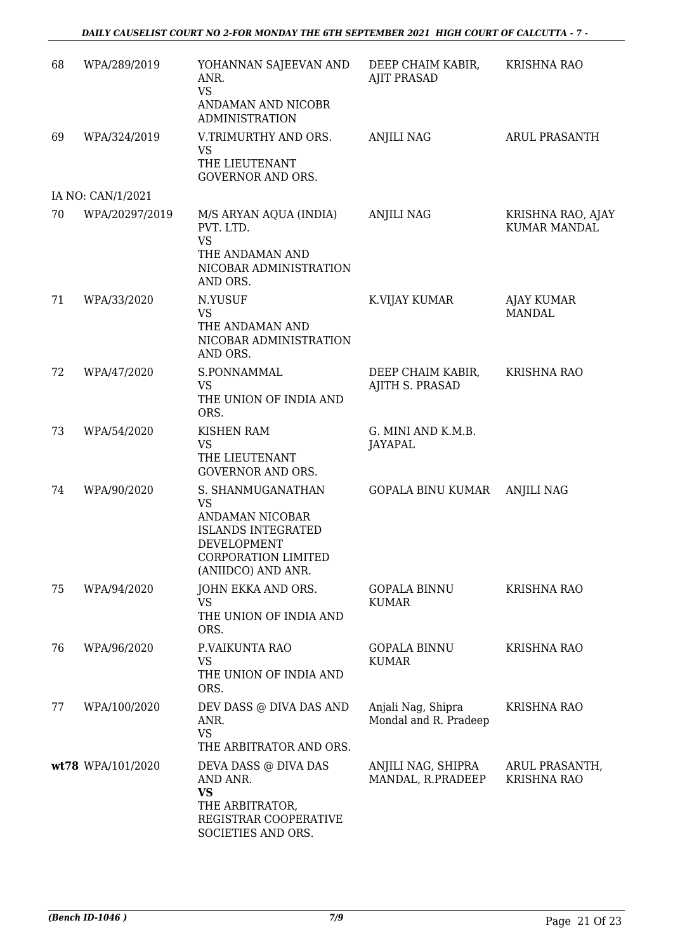#### *DAILY CAUSELIST COURT NO 2-FOR MONDAY THE 6TH SEPTEMBER 2021 HIGH COURT OF CALCUTTA - 7 -*

| 68 | WPA/289/2019      | YOHANNAN SAJEEVAN AND<br>ANR.<br><b>VS</b><br>ANDAMAN AND NICOBR                                                                           | DEEP CHAIM KABIR,<br><b>AJIT PRASAD</b>     | <b>KRISHNA RAO</b>                       |
|----|-------------------|--------------------------------------------------------------------------------------------------------------------------------------------|---------------------------------------------|------------------------------------------|
|    |                   | <b>ADMINISTRATION</b>                                                                                                                      |                                             |                                          |
| 69 | WPA/324/2019      | V.TRIMURTHY AND ORS.<br><b>VS</b><br>THE LIEUTENANT<br><b>GOVERNOR AND ORS.</b>                                                            | <b>ANJILI NAG</b>                           | <b>ARUL PRASANTH</b>                     |
|    | IA NO: CAN/1/2021 |                                                                                                                                            |                                             |                                          |
| 70 | WPA/20297/2019    | M/S ARYAN AQUA (INDIA)<br>PVT. LTD.<br><b>VS</b><br>THE ANDAMAN AND<br>NICOBAR ADMINISTRATION<br>AND ORS.                                  | <b>ANJILI NAG</b>                           | KRISHNA RAO, AJAY<br><b>KUMAR MANDAL</b> |
| 71 | WPA/33/2020       | N.YUSUF<br><b>VS</b><br>THE ANDAMAN AND<br>NICOBAR ADMINISTRATION<br>AND ORS.                                                              | K.VIJAY KUMAR                               | <b>AJAY KUMAR</b><br><b>MANDAL</b>       |
| 72 | WPA/47/2020       | S.PONNAMMAL<br>VS<br>THE UNION OF INDIA AND<br>ORS.                                                                                        | DEEP CHAIM KABIR,<br>AJITH S. PRASAD        | <b>KRISHNA RAO</b>                       |
| 73 | WPA/54/2020       | <b>KISHEN RAM</b><br><b>VS</b><br>THE LIEUTENANT<br><b>GOVERNOR AND ORS.</b>                                                               | G. MINI AND K.M.B.<br><b>JAYAPAL</b>        |                                          |
| 74 | WPA/90/2020       | S. SHANMUGANATHAN<br><b>VS</b><br>ANDAMAN NICOBAR<br><b>ISLANDS INTEGRATED</b><br>DEVELOPMENT<br>CORPORATION LIMITED<br>(ANIIDCO) AND ANR. | GOPALA BINU KUMAR                           | <b>ANJILI NAG</b>                        |
| 75 | WPA/94/2020       | JOHN EKKA AND ORS.<br>VS<br>THE UNION OF INDIA AND<br>ORS.                                                                                 | <b>GOPALA BINNU</b><br><b>KUMAR</b>         | <b>KRISHNA RAO</b>                       |
| 76 | WPA/96/2020       | P.VAIKUNTA RAO<br><b>VS</b><br>THE UNION OF INDIA AND<br>ORS.                                                                              | <b>GOPALA BINNU</b><br><b>KUMAR</b>         | <b>KRISHNA RAO</b>                       |
| 77 | WPA/100/2020      | DEV DASS @ DIVA DAS AND<br>ANR.<br><b>VS</b><br>THE ARBITRATOR AND ORS.                                                                    | Anjali Nag, Shipra<br>Mondal and R. Pradeep | <b>KRISHNA RAO</b>                       |
|    | wt78 WPA/101/2020 | DEVA DASS @ DIVA DAS<br>AND ANR.<br>VS<br>THE ARBITRATOR,<br>REGISTRAR COOPERATIVE<br>SOCIETIES AND ORS.                                   | ANJILI NAG, SHIPRA<br>MANDAL, R.PRADEEP     | ARUL PRASANTH,<br><b>KRISHNA RAO</b>     |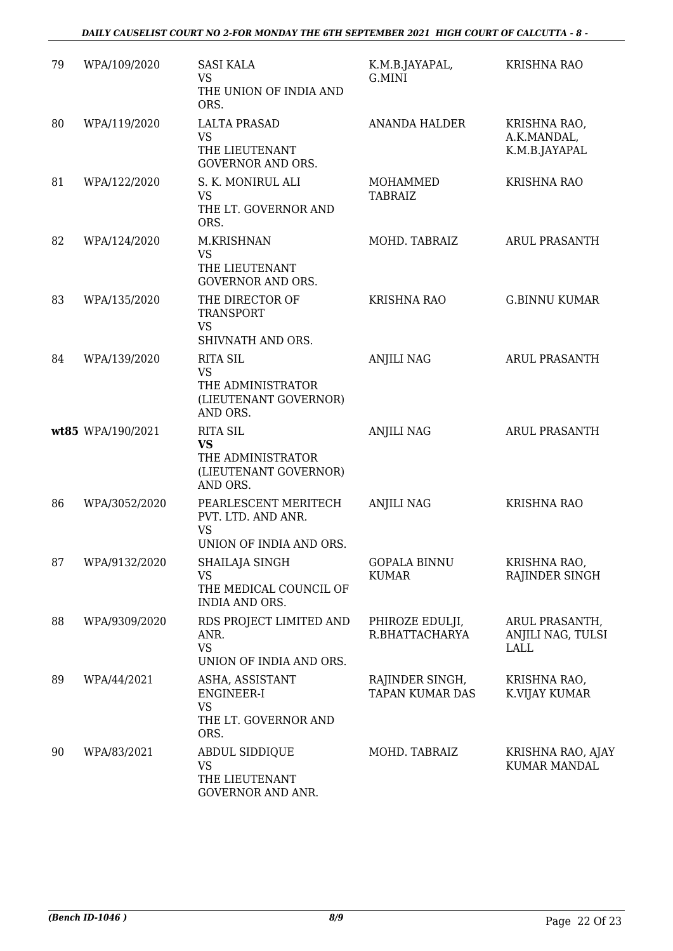| 79 | WPA/109/2020      | <b>SASI KALA</b><br><b>VS</b><br>THE UNION OF INDIA AND<br>ORS.                        | K.M.B.JAYAPAL,<br>G.MINI                  | <b>KRISHNA RAO</b>                           |
|----|-------------------|----------------------------------------------------------------------------------------|-------------------------------------------|----------------------------------------------|
| 80 | WPA/119/2020      | <b>LALTA PRASAD</b><br><b>VS</b><br>THE LIEUTENANT<br>GOVERNOR AND ORS.                | <b>ANANDA HALDER</b>                      | KRISHNA RAO,<br>A.K.MANDAL,<br>K.M.B.JAYAPAL |
| 81 | WPA/122/2020      | S. K. MONIRUL ALI<br><b>VS</b><br>THE LT. GOVERNOR AND<br>ORS.                         | MOHAMMED<br><b>TABRAIZ</b>                | <b>KRISHNA RAO</b>                           |
| 82 | WPA/124/2020      | M.KRISHNAN<br><b>VS</b><br>THE LIEUTENANT<br><b>GOVERNOR AND ORS.</b>                  | MOHD. TABRAIZ                             | <b>ARUL PRASANTH</b>                         |
| 83 | WPA/135/2020      | THE DIRECTOR OF<br><b>TRANSPORT</b><br><b>VS</b><br>SHIVNATH AND ORS.                  | <b>KRISHNA RAO</b>                        | <b>G.BINNU KUMAR</b>                         |
| 84 | WPA/139/2020      | <b>RITA SIL</b><br><b>VS</b><br>THE ADMINISTRATOR<br>(LIEUTENANT GOVERNOR)<br>AND ORS. | <b>ANJILI NAG</b>                         | <b>ARUL PRASANTH</b>                         |
|    | wt85 WPA/190/2021 | <b>RITA SIL</b><br><b>VS</b><br>THE ADMINISTRATOR<br>(LIEUTENANT GOVERNOR)<br>AND ORS. | <b>ANJILI NAG</b>                         | <b>ARUL PRASANTH</b>                         |
| 86 | WPA/3052/2020     | PEARLESCENT MERITECH<br>PVT. LTD. AND ANR.<br><b>VS</b><br>UNION OF INDIA AND ORS.     | <b>ANJILI NAG</b>                         | KRISHNA RAO                                  |
| 87 | WPA/9132/2020     | SHAILAJA SINGH<br><b>VS</b><br>THE MEDICAL COUNCIL OF<br>INDIA AND ORS.                | <b>GOPALA BINNU</b><br><b>KUMAR</b>       | KRISHNA RAO,<br>RAJINDER SINGH               |
| 88 | WPA/9309/2020     | RDS PROJECT LIMITED AND<br>ANR.<br><b>VS</b><br>UNION OF INDIA AND ORS.                | PHIROZE EDULJI,<br>R.BHATTACHARYA         | ARUL PRASANTH,<br>ANJILI NAG, TULSI<br>LALL  |
| 89 | WPA/44/2021       | ASHA, ASSISTANT<br>ENGINEER-I<br><b>VS</b><br>THE LT. GOVERNOR AND<br>ORS.             | RAJINDER SINGH,<br><b>TAPAN KUMAR DAS</b> | KRISHNA RAO,<br>K.VIJAY KUMAR                |
| 90 | WPA/83/2021       | <b>ABDUL SIDDIQUE</b><br>VS<br>THE LIEUTENANT<br><b>GOVERNOR AND ANR.</b>              | MOHD. TABRAIZ                             | KRISHNA RAO, AJAY<br>KUMAR MANDAL            |